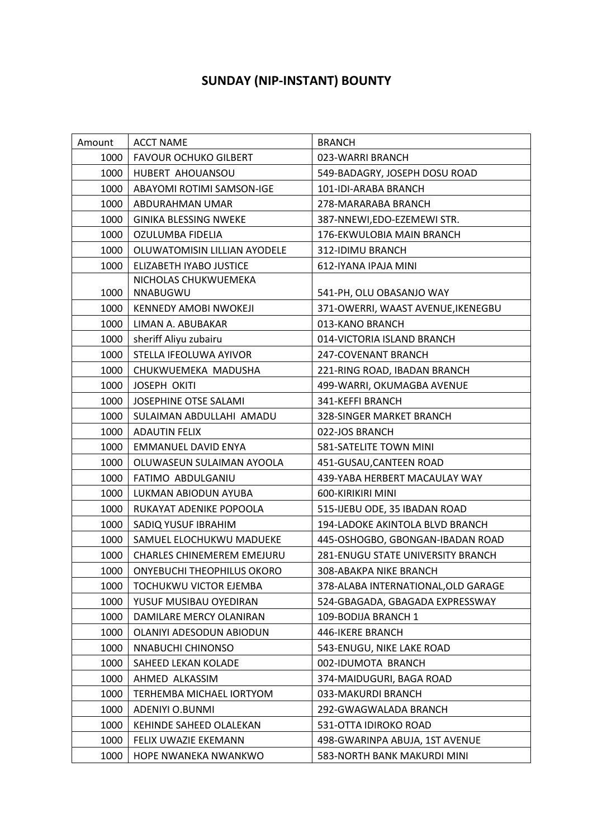## **SUNDAY (NIP-INSTANT) BOUNTY**

| Amount | <b>ACCT NAME</b>                  | <b>BRANCH</b>                       |
|--------|-----------------------------------|-------------------------------------|
| 1000   | <b>FAVOUR OCHUKO GILBERT</b>      | 023-WARRI BRANCH                    |
| 1000   | HUBERT AHOUANSOU                  | 549-BADAGRY, JOSEPH DOSU ROAD       |
| 1000   | ABAYOMI ROTIMI SAMSON-IGE         | 101-IDI-ARABA BRANCH                |
| 1000   | ABDURAHMAN UMAR                   | 278-MARARABA BRANCH                 |
| 1000   | <b>GINIKA BLESSING NWEKE</b>      | 387-NNEWI, EDO-EZEMEWI STR.         |
| 1000   | OZULUMBA FIDELIA                  | 176-EKWULOBIA MAIN BRANCH           |
| 1000   | OLUWATOMISIN LILLIAN AYODELE      | 312-IDIMU BRANCH                    |
| 1000   | ELIZABETH IYABO JUSTICE           | 612-IYANA IPAJA MINI                |
|        | NICHOLAS CHUKWUEMEKA              |                                     |
| 1000   | NNABUGWU                          | 541-PH, OLU OBASANJO WAY            |
| 1000   | <b>KENNEDY AMOBI NWOKEJI</b>      | 371-OWERRI, WAAST AVENUE, IKENEGBU  |
| 1000   | LIMAN A. ABUBAKAR                 | 013-KANO BRANCH                     |
| 1000   | sheriff Aliyu zubairu             | 014-VICTORIA ISLAND BRANCH          |
| 1000   | STELLA IFEOLUWA AYIVOR            | 247-COVENANT BRANCH                 |
| 1000   | CHUKWUEMEKA MADUSHA               | 221-RING ROAD, IBADAN BRANCH        |
| 1000   | <b>JOSEPH OKITI</b>               | 499-WARRI, OKUMAGBA AVENUE          |
| 1000   | JOSEPHINE OTSE SALAMI             | 341-KEFFI BRANCH                    |
| 1000   | SULAIMAN ABDULLAHI AMADU          | 328-SINGER MARKET BRANCH            |
| 1000   | <b>ADAUTIN FELIX</b>              | 022-JOS BRANCH                      |
| 1000   | EMMANUEL DAVID ENYA               | 581-SATELITE TOWN MINI              |
| 1000   | OLUWASEUN SULAIMAN AYOOLA         | 451-GUSAU, CANTEEN ROAD             |
| 1000   | FATIMO ABDULGANIU                 | 439-YABA HERBERT MACAULAY WAY       |
| 1000   | LUKMAN ABIODUN AYUBA              | 600-KIRIKIRI MINI                   |
| 1000   | RUKAYAT ADENIKE POPOOLA           | 515-IJEBU ODE, 35 IBADAN ROAD       |
| 1000   | SADIQ YUSUF IBRAHIM               | 194-LADOKE AKINTOLA BLVD BRANCH     |
| 1000   | SAMUEL ELOCHUKWU MADUEKE          | 445-OSHOGBO, GBONGAN-IBADAN ROAD    |
| 1000   | <b>CHARLES CHINEMEREM EMEJURU</b> | 281-ENUGU STATE UNIVERSITY BRANCH   |
| 1000   | <b>ONYEBUCHI THEOPHILUS OKORO</b> | 308-ABAKPA NIKE BRANCH              |
| 1000   | <b>TOCHUKWU VICTOR EJEMBA</b>     | 378-ALABA INTERNATIONAL, OLD GARAGE |
| 1000   | YUSUF MUSIBAU OYEDIRAN            | 524-GBAGADA, GBAGADA EXPRESSWAY     |
| 1000   | DAMILARE MERCY OLANIRAN           | 109-BODIJA BRANCH 1                 |
| 1000   | OLANIYI ADESODUN ABIODUN          | 446-IKERE BRANCH                    |
| 1000   | NNABUCHI CHINONSO                 | 543-ENUGU, NIKE LAKE ROAD           |
| 1000   | SAHEED LEKAN KOLADE               | 002-IDUMOTA BRANCH                  |
| 1000   | AHMED ALKASSIM                    | 374-MAIDUGURI, BAGA ROAD            |
| 1000   | TERHEMBA MICHAEL IORTYOM          | 033-MAKURDI BRANCH                  |
| 1000   | ADENIYI O.BUNMI                   | 292-GWAGWALADA BRANCH               |
| 1000   | KEHINDE SAHEED OLALEKAN           | 531-OTTA IDIROKO ROAD               |
| 1000   | FELIX UWAZIE EKEMANN              | 498-GWARINPA ABUJA, 1ST AVENUE      |
| 1000   | HOPE NWANEKA NWANKWO              | 583-NORTH BANK MAKURDI MINI         |
|        |                                   |                                     |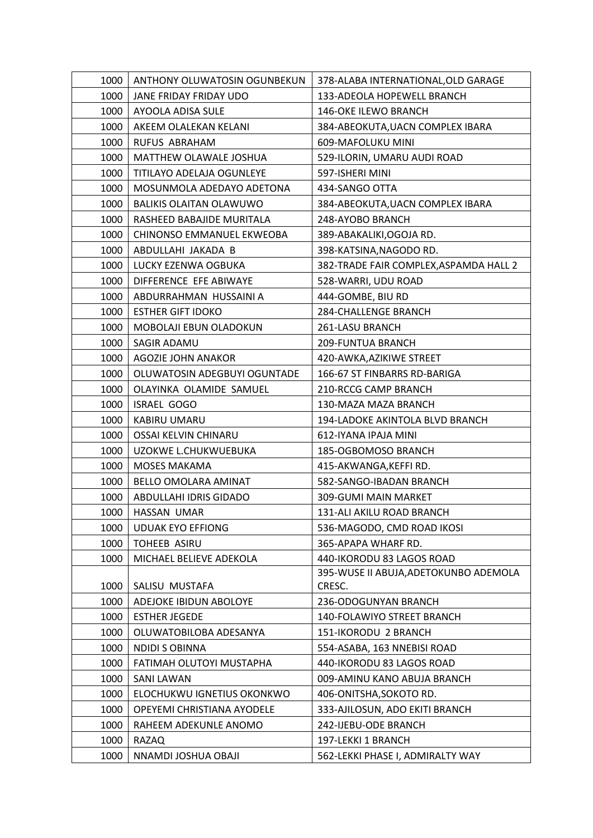| 1000 | ANTHONY OLUWATOSIN OGUNBEKUN   | 378-ALABA INTERNATIONAL, OLD GARAGE    |
|------|--------------------------------|----------------------------------------|
| 1000 | JANE FRIDAY FRIDAY UDO         | 133-ADEOLA HOPEWELL BRANCH             |
| 1000 | AYOOLA ADISA SULE              | 146-OKE ILEWO BRANCH                   |
| 1000 | AKEEM OLALEKAN KELANI          | 384-ABEOKUTA, UACN COMPLEX IBARA       |
| 1000 | RUFUS ABRAHAM                  | 609-MAFOLUKU MINI                      |
| 1000 | MATTHEW OLAWALE JOSHUA         | 529-ILORIN, UMARU AUDI ROAD            |
| 1000 | TITILAYO ADELAJA OGUNLEYE      | 597-ISHERI MINI                        |
| 1000 | MOSUNMOLA ADEDAYO ADETONA      | 434-SANGO OTTA                         |
| 1000 | <b>BALIKIS OLAITAN OLAWUWO</b> | 384-ABEOKUTA, UACN COMPLEX IBARA       |
| 1000 | RASHEED BABAJIDE MURITALA      | 248-AYOBO BRANCH                       |
| 1000 | CHINONSO EMMANUEL EKWEOBA      | 389-ABAKALIKI, OGOJA RD.               |
| 1000 | ABDULLAHI JAKADA B             | 398-KATSINA, NAGODO RD.                |
| 1000 | LUCKY EZENWA OGBUKA            | 382-TRADE FAIR COMPLEX, ASPAMDA HALL 2 |
| 1000 | DIFFERENCE EFE ABIWAYE         | 528-WARRI, UDU ROAD                    |
| 1000 | ABDURRAHMAN HUSSAINI A         | 444-GOMBE, BIU RD                      |
| 1000 | <b>ESTHER GIFT IDOKO</b>       | 284-CHALLENGE BRANCH                   |
| 1000 | MOBOLAJI EBUN OLADOKUN         | 261-LASU BRANCH                        |
| 1000 | SAGIR ADAMU                    | 209-FUNTUA BRANCH                      |
| 1000 | AGOZIE JOHN ANAKOR             | 420-AWKA, AZIKIWE STREET               |
| 1000 | OLUWATOSIN ADEGBUYI OGUNTADE   | 166-67 ST FINBARRS RD-BARIGA           |
| 1000 | OLAYINKA OLAMIDE SAMUEL        | 210-RCCG CAMP BRANCH                   |
| 1000 | <b>ISRAEL GOGO</b>             | 130-MAZA MAZA BRANCH                   |
| 1000 | KABIRU UMARU                   | 194-LADOKE AKINTOLA BLVD BRANCH        |
| 1000 | OSSAI KELVIN CHINARU           | 612-IYANA IPAJA MINI                   |
| 1000 | UZOKWE L.CHUKWUEBUKA           | 185-OGBOMOSO BRANCH                    |
| 1000 | <b>MOSES MAKAMA</b>            | 415-AKWANGA, KEFFI RD.                 |
| 1000 | BELLO OMOLARA AMINAT           | 582-SANGO-IBADAN BRANCH                |
| 1000 | ABDULLAHI IDRIS GIDADO         | 309-GUMI MAIN MARKET                   |
| 1000 | HASSAN UMAR                    | 131-ALI AKILU ROAD BRANCH              |
| 1000 | <b>UDUAK EYO EFFIONG</b>       | 536-MAGODO, CMD ROAD IKOSI             |
| 1000 | TOHEEB ASIRU                   | 365-APAPA WHARF RD.                    |
| 1000 | MICHAEL BELIEVE ADEKOLA        | 440-IKORODU 83 LAGOS ROAD              |
|      |                                | 395-WUSE II ABUJA, ADETOKUNBO ADEMOLA  |
| 1000 | SALISU MUSTAFA                 | CRESC.                                 |
| 1000 | ADEJOKE IBIDUN ABOLOYE         | 236-ODOGUNYAN BRANCH                   |
| 1000 | <b>ESTHER JEGEDE</b>           | 140-FOLAWIYO STREET BRANCH             |
| 1000 | OLUWATOBILOBA ADESANYA         | 151-IKORODU 2 BRANCH                   |
| 1000 | NDIDI S OBINNA                 | 554-ASABA, 163 NNEBISI ROAD            |
| 1000 | FATIMAH OLUTOYI MUSTAPHA       | 440-IKORODU 83 LAGOS ROAD              |
| 1000 | <b>SANI LAWAN</b>              | 009-AMINU KANO ABUJA BRANCH            |
| 1000 | ELOCHUKWU IGNETIUS OKONKWO     | 406-ONITSHA, SOKOTO RD.                |
| 1000 | OPEYEMI CHRISTIANA AYODELE     | 333-AJILOSUN, ADO EKITI BRANCH         |
| 1000 | RAHEEM ADEKUNLE ANOMO          | 242-IJEBU-ODE BRANCH                   |
| 1000 | <b>RAZAQ</b>                   | 197-LEKKI 1 BRANCH                     |
| 1000 | NNAMDI JOSHUA OBAJI            | 562-LEKKI PHASE I, ADMIRALTY WAY       |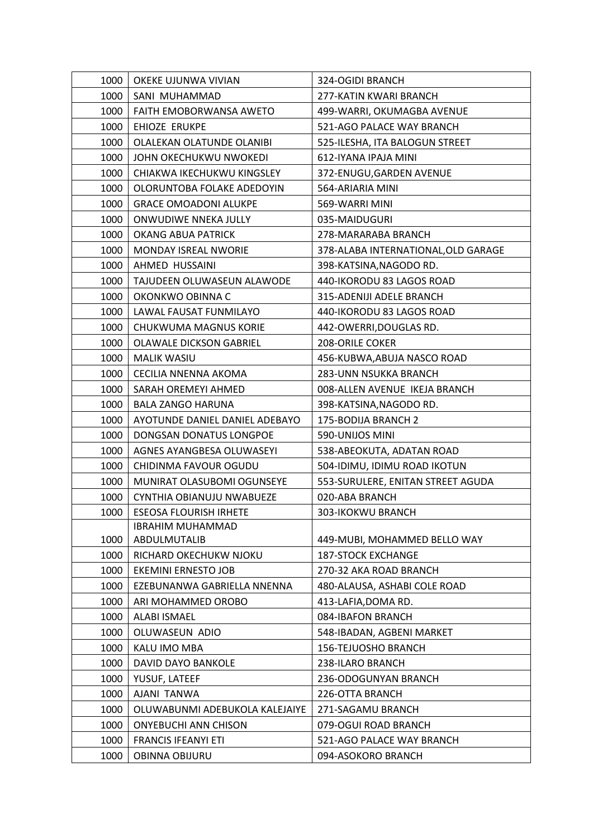| 1000 | OKEKE UJUNWA VIVIAN            | 324-OGIDI BRANCH                    |
|------|--------------------------------|-------------------------------------|
| 1000 | SANI MUHAMMAD                  | 277-KATIN KWARI BRANCH              |
| 1000 | FAITH EMOBORWANSA AWETO        | 499-WARRI, OKUMAGBA AVENUE          |
| 1000 | EHIOZE ERUKPE                  | 521-AGO PALACE WAY BRANCH           |
| 1000 | OLALEKAN OLATUNDE OLANIBI      | 525-ILESHA, ITA BALOGUN STREET      |
| 1000 | JOHN OKECHUKWU NWOKEDI         | 612-IYANA IPAJA MINI                |
| 1000 | CHIAKWA IKECHUKWU KINGSLEY     | 372-ENUGU, GARDEN AVENUE            |
| 1000 | OLORUNTOBA FOLAKE ADEDOYIN     | 564-ARIARIA MINI                    |
| 1000 | <b>GRACE OMOADONI ALUKPE</b>   | 569-WARRI MINI                      |
| 1000 | ONWUDIWE NNEKA JULLY           | 035-MAIDUGURI                       |
| 1000 | OKANG ABUA PATRICK             | 278-MARARABA BRANCH                 |
| 1000 | MONDAY ISREAL NWORIE           | 378-ALABA INTERNATIONAL, OLD GARAGE |
| 1000 | AHMED HUSSAINI                 | 398-KATSINA, NAGODO RD.             |
| 1000 | TAJUDEEN OLUWASEUN ALAWODE     | 440-IKORODU 83 LAGOS ROAD           |
| 1000 | OKONKWO OBINNA C               | 315-ADENIJI ADELE BRANCH            |
| 1000 | LAWAL FAUSAT FUNMILAYO         | 440-IKORODU 83 LAGOS ROAD           |
| 1000 | CHUKWUMA MAGNUS KORIE          | 442-OWERRI, DOUGLAS RD.             |
| 1000 | <b>OLAWALE DICKSON GABRIEL</b> | <b>208-ORILE COKER</b>              |
| 1000 | <b>MALIK WASIU</b>             | 456-KUBWA, ABUJA NASCO ROAD         |
| 1000 | CECILIA NNENNA AKOMA           | 283-UNN NSUKKA BRANCH               |
| 1000 | SARAH OREMEYI AHMED            | 008-ALLEN AVENUE IKEJA BRANCH       |
| 1000 | <b>BALA ZANGO HARUNA</b>       | 398-KATSINA, NAGODO RD.             |
| 1000 | AYOTUNDE DANIEL DANIEL ADEBAYO | 175-BODIJA BRANCH 2                 |
| 1000 | DONGSAN DONATUS LONGPOE        | 590-UNIJOS MINI                     |
| 1000 | AGNES AYANGBESA OLUWASEYI      | 538-ABEOKUTA, ADATAN ROAD           |
| 1000 | CHIDINMA FAVOUR OGUDU          | 504-IDIMU, IDIMU ROAD IKOTUN        |
| 1000 | MUNIRAT OLASUBOMI OGUNSEYE     | 553-SURULERE, ENITAN STREET AGUDA   |
| 1000 | CYNTHIA OBIANUJU NWABUEZE      | 020-ABA BRANCH                      |
| 1000 | <b>ESEOSA FLOURISH IRHETE</b>  | 303-IKOKWU BRANCH                   |
|      | <b>IBRAHIM MUHAMMAD</b>        |                                     |
| 1000 | ABDULMUTALIB                   | 449-MUBI, MOHAMMED BELLO WAY        |
| 1000 | RICHARD OKECHUKW NJOKU         | <b>187-STOCK EXCHANGE</b>           |
| 1000 | <b>EKEMINI ERNESTO JOB</b>     | 270-32 AKA ROAD BRANCH              |
| 1000 | EZEBUNANWA GABRIELLA NNENNA    | 480-ALAUSA, ASHABI COLE ROAD        |
| 1000 | ARI MOHAMMED OROBO             | 413-LAFIA, DOMA RD.                 |
| 1000 | <b>ALABI ISMAEL</b>            | 084-IBAFON BRANCH                   |
| 1000 | OLUWASEUN ADIO                 | 548-IBADAN, AGBENI MARKET           |
| 1000 | KALU IMO MBA                   | <b>156-TEJUOSHO BRANCH</b>          |
| 1000 | DAVID DAYO BANKOLE             | 238-ILARO BRANCH                    |
| 1000 | YUSUF, LATEEF                  | 236-ODOGUNYAN BRANCH                |
| 1000 | AJANI TANWA                    | 226-OTTA BRANCH                     |
| 1000 | OLUWABUNMI ADEBUKOLA KALEJAIYE | 271-SAGAMU BRANCH                   |
| 1000 | <b>ONYEBUCHI ANN CHISON</b>    | 079-OGUI ROAD BRANCH                |
| 1000 | <b>FRANCIS IFEANYI ETI</b>     | 521-AGO PALACE WAY BRANCH           |
| 1000 | <b>OBINNA OBIJURU</b>          | 094-ASOKORO BRANCH                  |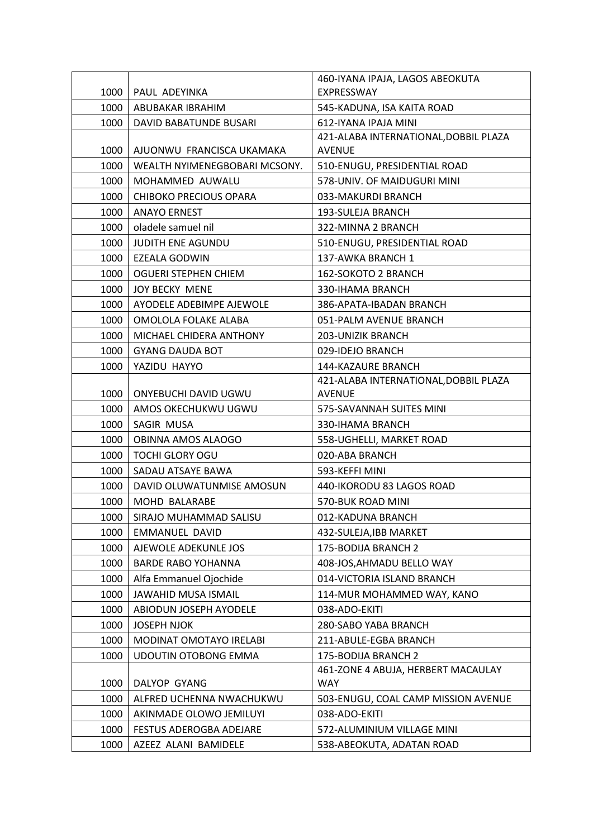|      |                               | 460-IYANA IPAJA, LAGOS ABEOKUTA       |
|------|-------------------------------|---------------------------------------|
| 1000 | PAUL ADEYINKA                 | EXPRESSWAY                            |
| 1000 | ABUBAKAR IBRAHIM              | 545-KADUNA, ISA KAITA ROAD            |
| 1000 | DAVID BABATUNDE BUSARI        | 612-IYANA IPAJA MINI                  |
|      |                               | 421-ALABA INTERNATIONAL, DOBBIL PLAZA |
| 1000 | AJUONWU FRANCISCA UKAMAKA     | <b>AVENUE</b>                         |
| 1000 | WEALTH NYIMENEGBOBARI MCSONY. | 510-ENUGU, PRESIDENTIAL ROAD          |
| 1000 | MOHAMMED AUWALU               | 578-UNIV. OF MAIDUGURI MINI           |
| 1000 | <b>CHIBOKO PRECIOUS OPARA</b> | 033-MAKURDI BRANCH                    |
| 1000 | <b>ANAYO ERNEST</b>           | 193-SULEJA BRANCH                     |
| 1000 | oladele samuel nil            | 322-MINNA 2 BRANCH                    |
| 1000 | <b>JUDITH ENE AGUNDU</b>      | 510-ENUGU, PRESIDENTIAL ROAD          |
| 1000 | EZEALA GODWIN                 | 137-AWKA BRANCH 1                     |
| 1000 | OGUERI STEPHEN CHIEM          | 162-SOKOTO 2 BRANCH                   |
| 1000 | <b>JOY BECKY MENE</b>         | 330-IHAMA BRANCH                      |
| 1000 | AYODELE ADEBIMPE AJEWOLE      | 386-APATA-IBADAN BRANCH               |
| 1000 | OMOLOLA FOLAKE ALABA          | 051-PALM AVENUE BRANCH                |
| 1000 | MICHAEL CHIDERA ANTHONY       | <b>203-UNIZIK BRANCH</b>              |
| 1000 | <b>GYANG DAUDA BOT</b>        | 029-IDEJO BRANCH                      |
| 1000 | YAZIDU HAYYO                  | 144-KAZAURE BRANCH                    |
|      |                               | 421-ALABA INTERNATIONAL, DOBBIL PLAZA |
| 1000 | ONYEBUCHI DAVID UGWU          | <b>AVENUE</b>                         |
| 1000 | AMOS OKECHUKWU UGWU           | 575-SAVANNAH SUITES MINI              |
| 1000 | SAGIR MUSA                    | 330-IHAMA BRANCH                      |
| 1000 | OBINNA AMOS ALAOGO            | 558-UGHELLI, MARKET ROAD              |
| 1000 | <b>TOCHI GLORY OGU</b>        | 020-ABA BRANCH                        |
| 1000 | SADAU ATSAYE BAWA             | 593-KEFFI MINI                        |
| 1000 | DAVID OLUWATUNMISE AMOSUN     | 440-IKORODU 83 LAGOS ROAD             |
| 1000 | MOHD BALARABE                 | 570-BUK ROAD MINI                     |
| 1000 | SIRAJO MUHAMMAD SALISU        | 012-KADUNA BRANCH                     |
| 1000 | EMMANUEL DAVID                | 432-SULEJA, IBB MARKET                |
| 1000 | AJEWOLE ADEKUNLE JOS          | 175-BODIJA BRANCH 2                   |
| 1000 | <b>BARDE RABO YOHANNA</b>     | 408-JOS, AHMADU BELLO WAY             |
| 1000 | Alfa Emmanuel Ojochide        | 014-VICTORIA ISLAND BRANCH            |
| 1000 | <b>JAWAHID MUSA ISMAIL</b>    | 114-MUR MOHAMMED WAY, KANO            |
| 1000 | ABIODUN JOSEPH AYODELE        | 038-ADO-EKITI                         |
| 1000 | <b>JOSEPH NJOK</b>            | 280-SABO YABA BRANCH                  |
| 1000 | MODINAT OMOTAYO IRELABI       | 211-ABULE-EGBA BRANCH                 |
| 1000 | UDOUTIN OTOBONG EMMA          | 175-BODIJA BRANCH 2                   |
|      |                               | 461-ZONE 4 ABUJA, HERBERT MACAULAY    |
| 1000 | DALYOP GYANG                  | WAY                                   |
| 1000 | ALFRED UCHENNA NWACHUKWU      | 503-ENUGU, COAL CAMP MISSION AVENUE   |
| 1000 | AKINMADE OLOWO JEMILUYI       | 038-ADO-EKITI                         |
| 1000 | FESTUS ADEROGBA ADEJARE       | 572-ALUMINIUM VILLAGE MINI            |
| 1000 | AZEEZ ALANI BAMIDELE          | 538-ABEOKUTA, ADATAN ROAD             |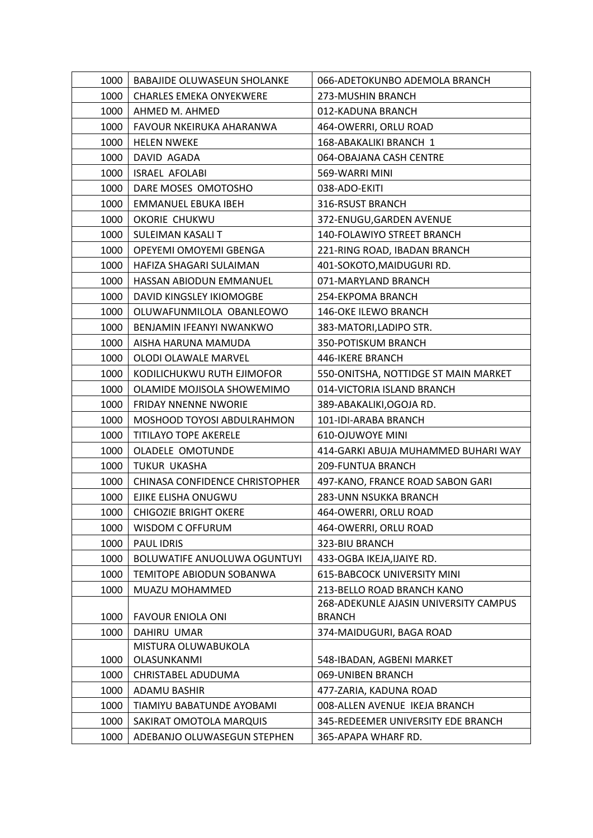| 1000 | <b>BABAJIDE OLUWASEUN SHOLANKE</b>  | 066-ADETOKUNBO ADEMOLA BRANCH         |
|------|-------------------------------------|---------------------------------------|
| 1000 | <b>CHARLES EMEKA ONYEKWERE</b>      | 273-MUSHIN BRANCH                     |
| 1000 | AHMED M. AHMED                      | 012-KADUNA BRANCH                     |
| 1000 | FAVOUR NKEIRUKA AHARANWA            | 464-OWERRI, ORLU ROAD                 |
| 1000 | <b>HELEN NWEKE</b>                  | 168-ABAKALIKI BRANCH 1                |
| 1000 | DAVID AGADA                         | 064-OBAJANA CASH CENTRE               |
| 1000 | <b>ISRAEL AFOLABI</b>               | 569-WARRI MINI                        |
| 1000 | DARE MOSES OMOTOSHO                 | 038-ADO-EKITI                         |
| 1000 | EMMANUEL EBUKA IBEH                 | 316-RSUST BRANCH                      |
| 1000 | OKORIE CHUKWU                       | 372-ENUGU, GARDEN AVENUE              |
| 1000 | SULEIMAN KASALI T                   | 140-FOLAWIYO STREET BRANCH            |
| 1000 | OPEYEMI OMOYEMI GBENGA              | 221-RING ROAD, IBADAN BRANCH          |
| 1000 | HAFIZA SHAGARI SULAIMAN             | 401-SOKOTO, MAIDUGURI RD.             |
| 1000 | HASSAN ABIODUN EMMANUEL             | 071-MARYLAND BRANCH                   |
| 1000 | DAVID KINGSLEY IKIOMOGBE            | 254-EKPOMA BRANCH                     |
| 1000 | OLUWAFUNMILOLA OBANLEOWO            | 146-OKE ILEWO BRANCH                  |
| 1000 | BENJAMIN IFEANYI NWANKWO            | 383-MATORI, LADIPO STR.               |
| 1000 | AISHA HARUNA MAMUDA                 | 350-POTISKUM BRANCH                   |
| 1000 | OLODI OLAWALE MARVEL                | 446-IKERE BRANCH                      |
| 1000 | KODILICHUKWU RUTH EJIMOFOR          | 550-ONITSHA, NOTTIDGE ST MAIN MARKET  |
| 1000 | OLAMIDE MOJISOLA SHOWEMIMO          | 014-VICTORIA ISLAND BRANCH            |
| 1000 | <b>FRIDAY NNENNE NWORIE</b>         | 389-ABAKALIKI, OGOJA RD.              |
| 1000 | MOSHOOD TOYOSI ABDULRAHMON          | 101-IDI-ARABA BRANCH                  |
| 1000 | TITILAYO TOPE AKERELE               | 610-OJUWOYE MINI                      |
| 1000 | OLADELE OMOTUNDE                    | 414-GARKI ABUJA MUHAMMED BUHARI WAY   |
| 1000 | TUKUR UKASHA                        | 209-FUNTUA BRANCH                     |
| 1000 | CHINASA CONFIDENCE CHRISTOPHER      | 497-KANO, FRANCE ROAD SABON GARI      |
| 1000 | EJIKE ELISHA ONUGWU                 | 283-UNN NSUKKA BRANCH                 |
| 1000 | <b>CHIGOZIE BRIGHT OKERE</b>        | 464-OWERRI, ORLU ROAD                 |
| 1000 | WISDOM C OFFURUM                    | 464-OWERRI, ORLU ROAD                 |
| 1000 | <b>PAUL IDRIS</b>                   | 323-BIU BRANCH                        |
| 1000 | <b>BOLUWATIFE ANUOLUWA OGUNTUYI</b> | 433-OGBA IKEJA, IJAIYE RD.            |
| 1000 | TEMITOPE ABIODUN SOBANWA            | <b>615-BABCOCK UNIVERSITY MINI</b>    |
| 1000 | MUAZU MOHAMMED                      | 213-BELLO ROAD BRANCH KANO            |
|      |                                     | 268-ADEKUNLE AJASIN UNIVERSITY CAMPUS |
| 1000 | <b>FAVOUR ENIOLA ONI</b>            | <b>BRANCH</b>                         |
| 1000 | <b>DAHIRU UMAR</b>                  | 374-MAIDUGURI, BAGA ROAD              |
|      | MISTURA OLUWABUKOLA                 |                                       |
| 1000 | OLASUNKANMI                         | 548-IBADAN, AGBENI MARKET             |
| 1000 | CHRISTABEL ADUDUMA                  | 069-UNIBEN BRANCH                     |
| 1000 | <b>ADAMU BASHIR</b>                 | 477-ZARIA, KADUNA ROAD                |
| 1000 | TIAMIYU BABATUNDE AYOBAMI           | 008-ALLEN AVENUE IKEJA BRANCH         |
| 1000 | SAKIRAT OMOTOLA MARQUIS             | 345-REDEEMER UNIVERSITY EDE BRANCH    |
| 1000 | ADEBANJO OLUWASEGUN STEPHEN         | 365-APAPA WHARF RD.                   |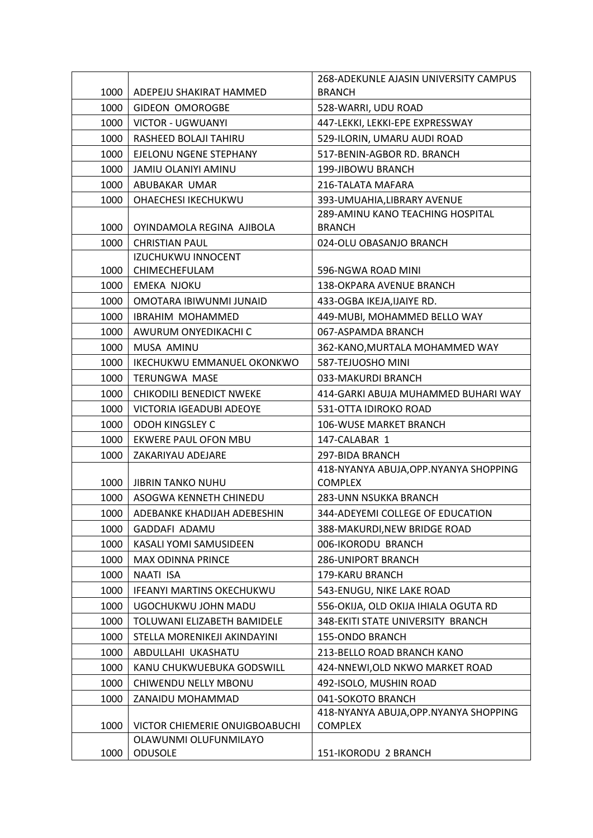|      |                                  | 268-ADEKUNLE AJASIN UNIVERSITY CAMPUS   |
|------|----------------------------------|-----------------------------------------|
| 1000 | ADEPEJU SHAKIRAT HAMMED          | <b>BRANCH</b>                           |
| 1000 | <b>GIDEON OMOROGBE</b>           | 528-WARRI, UDU ROAD                     |
| 1000 | <b>VICTOR - UGWUANYI</b>         | 447-LEKKI, LEKKI-EPE EXPRESSWAY         |
| 1000 | RASHEED BOLAJI TAHIRU            | 529-ILORIN, UMARU AUDI ROAD             |
| 1000 | EJELONU NGENE STEPHANY           | 517-BENIN-AGBOR RD. BRANCH              |
| 1000 | JAMIU OLANIYI AMINU              | 199-JIBOWU BRANCH                       |
| 1000 | ABUBAKAR UMAR                    | 216-TALATA MAFARA                       |
| 1000 | OHAECHESI IKECHUKWU              | 393-UMUAHIA, LIBRARY AVENUE             |
|      |                                  | <b>289-AMINU KANO TEACHING HOSPITAL</b> |
| 1000 | OYINDAMOLA REGINA AJIBOLA        | <b>BRANCH</b>                           |
| 1000 | <b>CHRISTIAN PAUL</b>            | 024-OLU OBASANJO BRANCH                 |
|      | <b>IZUCHUKWU INNOCENT</b>        |                                         |
| 1000 | CHIMECHEFULAM                    | 596-NGWA ROAD MINI                      |
| 1000 | <b>EMEKA NJOKU</b>               | 138-OKPARA AVENUE BRANCH                |
| 1000 | OMOTARA IBIWUNMI JUNAID          | 433-OGBA IKEJA, IJAIYE RD.              |
| 1000 | <b>IBRAHIM MOHAMMED</b>          | 449-MUBI, MOHAMMED BELLO WAY            |
| 1000 | AWURUM ONYEDIKACHI C             | 067-ASPAMDA BRANCH                      |
| 1000 | MUSA AMINU                       | 362-KANO, MURTALA MOHAMMED WAY          |
| 1000 | IKECHUKWU EMMANUEL OKONKWO       | 587-TEJUOSHO MINI                       |
| 1000 | <b>TERUNGWA MASE</b>             | 033-MAKURDI BRANCH                      |
| 1000 | CHIKODILI BENEDICT NWEKE         | 414-GARKI ABUJA MUHAMMED BUHARI WAY     |
| 1000 | VICTORIA IGEADUBI ADEOYE         | 531-OTTA IDIROKO ROAD                   |
| 1000 | <b>ODOH KINGSLEY C</b>           | 106-WUSE MARKET BRANCH                  |
| 1000 | EKWERE PAUL OFON MBU             | 147-CALABAR 1                           |
| 1000 | ZAKARIYAU ADEJARE                | 297-BIDA BRANCH                         |
|      |                                  | 418-NYANYA ABUJA, OPP. NYANYA SHOPPING  |
| 1000 | <b>JIBRIN TANKO NUHU</b>         | <b>COMPLEX</b>                          |
| 1000 | ASOGWA KENNETH CHINEDU           | 283-UNN NSUKKA BRANCH                   |
| 1000 | ADEBANKE KHADIJAH ADEBESHIN      | 344-ADEYEMI COLLEGE OF EDUCATION        |
| 1000 | GADDAFI ADAMU                    | 388-MAKURDI, NEW BRIDGE ROAD            |
| 1000 | KASALI YOMI SAMUSIDEEN           | 006-IKORODU BRANCH                      |
| 1000 | <b>MAX ODINNA PRINCE</b>         | 286-UNIPORT BRANCH                      |
| 1000 | NAATI ISA                        | 179-KARU BRANCH                         |
| 1000 | <b>IFEANYI MARTINS OKECHUKWU</b> | 543-ENUGU, NIKE LAKE ROAD               |
| 1000 | UGOCHUKWU JOHN MADU              | 556-OKIJA, OLD OKIJA IHIALA OGUTA RD    |
| 1000 | TOLUWANI ELIZABETH BAMIDELE      | 348-EKITI STATE UNIVERSITY BRANCH       |
| 1000 | STELLA MORENIKEJI AKINDAYINI     | 155-ONDO BRANCH                         |
| 1000 | ABDULLAHI UKASHATU               | 213-BELLO ROAD BRANCH KANO              |
| 1000 | KANU CHUKWUEBUKA GODSWILL        | 424-NNEWI, OLD NKWO MARKET ROAD         |
| 1000 | CHIWENDU NELLY MBONU             | 492-ISOLO, MUSHIN ROAD                  |
| 1000 | ZANAIDU MOHAMMAD                 | 041-SOKOTO BRANCH                       |
|      |                                  | 418-NYANYA ABUJA, OPP. NYANYA SHOPPING  |
| 1000 | VICTOR CHIEMERIE ONUIGBOABUCHI   | <b>COMPLEX</b>                          |
|      | OLAWUNMI OLUFUNMILAYO            |                                         |
| 1000 | <b>ODUSOLE</b>                   | 151-IKORODU 2 BRANCH                    |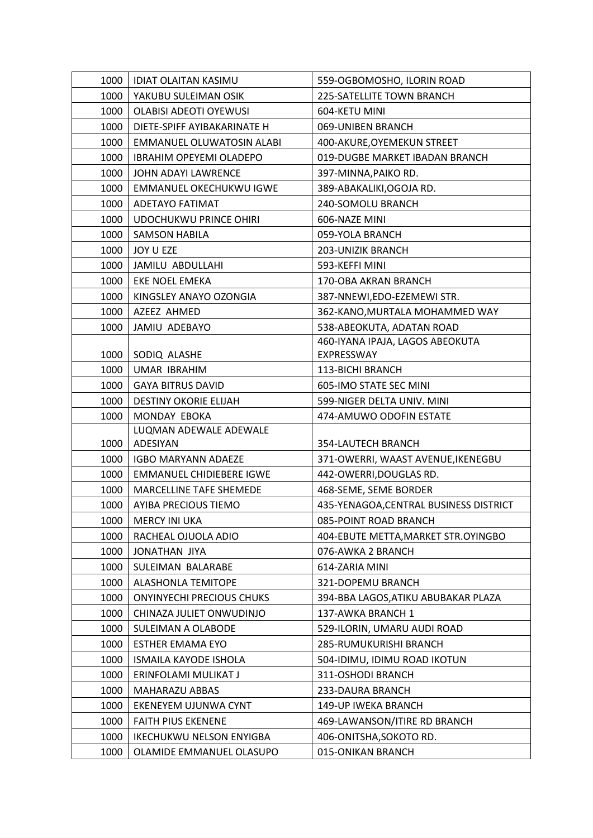| 1000 | <b>IDIAT OLAITAN KASIMU</b>        | 559-OGBOMOSHO, ILORIN ROAD             |
|------|------------------------------------|----------------------------------------|
| 1000 | YAKUBU SULEIMAN OSIK               | 225-SATELLITE TOWN BRANCH              |
| 1000 | <b>OLABISI ADEOTI OYEWUSI</b>      | 604-KETU MINI                          |
| 1000 | DIETE-SPIFF AYIBAKARINATE H        | 069-UNIBEN BRANCH                      |
| 1000 | EMMANUEL OLUWATOSIN ALABI          | 400-AKURE, OYEMEKUN STREET             |
| 1000 | IBRAHIM OPEYEMI OLADEPO            | 019-DUGBE MARKET IBADAN BRANCH         |
| 1000 | JOHN ADAYI LAWRENCE                | 397-MINNA, PAIKO RD.                   |
| 1000 | EMMANUEL OKECHUKWU IGWE            | 389-ABAKALIKI, OGOJA RD.               |
| 1000 | ADETAYO FATIMAT                    | 240-SOMOLU BRANCH                      |
| 1000 | <b>UDOCHUKWU PRINCE OHIRI</b>      | 606-NAZE MINI                          |
| 1000 | <b>SAMSON HABILA</b>               | 059-YOLA BRANCH                        |
| 1000 | JOY U EZE                          | 203-UNIZIK BRANCH                      |
| 1000 | JAMILU ABDULLAHI                   | 593-KEFFI MINI                         |
| 1000 | <b>EKE NOEL EMEKA</b>              | 170-OBA AKRAN BRANCH                   |
| 1000 | KINGSLEY ANAYO OZONGIA             | 387-NNEWI, EDO-EZEMEWI STR.            |
| 1000 | AZEEZ AHMED                        | 362-KANO, MURTALA MOHAMMED WAY         |
| 1000 | JAMIU ADEBAYO                      | 538-ABEOKUTA, ADATAN ROAD              |
|      |                                    | 460-IYANA IPAJA, LAGOS ABEOKUTA        |
| 1000 | SODIQ ALASHE                       | EXPRESSWAY                             |
| 1000 | <b>UMAR IBRAHIM</b>                | 113-BICHI BRANCH                       |
| 1000 | <b>GAYA BITRUS DAVID</b>           | 605-IMO STATE SEC MINI                 |
| 1000 | <b>DESTINY OKORIE ELIJAH</b>       | 599-NIGER DELTA UNIV. MINI             |
| 1000 | MONDAY EBOKA                       | 474-AMUWO ODOFIN ESTATE                |
| 1000 | LUQMAN ADEWALE ADEWALE<br>ADESIYAN | 354-LAUTECH BRANCH                     |
| 1000 | <b>IGBO MARYANN ADAEZE</b>         | 371-OWERRI, WAAST AVENUE, IKENEGBU     |
| 1000 | <b>EMMANUEL CHIDIEBERE IGWE</b>    | 442-OWERRI, DOUGLAS RD.                |
| 1000 | MARCELLINE TAFE SHEMEDE            | 468-SEME, SEME BORDER                  |
| 1000 | AYIBA PRECIOUS TIEMO               | 435-YENAGOA, CENTRAL BUSINESS DISTRICT |
| 1000 | MERCY INI UKA                      | 085-POINT ROAD BRANCH                  |
| 1000 | RACHEAL OJUOLA ADIO                | 404-EBUTE METTA, MARKET STR. OYINGBO   |
| 1000 | <b>JONATHAN JIYA</b>               | 076-AWKA 2 BRANCH                      |
| 1000 | SULEIMAN BALARABE                  | 614-ZARIA MINI                         |
| 1000 | <b>ALASHONLA TEMITOPE</b>          | 321-DOPEMU BRANCH                      |
| 1000 | <b>ONYINYECHI PRECIOUS CHUKS</b>   | 394-BBA LAGOS, ATIKU ABUBAKAR PLAZA    |
| 1000 | CHINAZA JULIET ONWUDINJO           | 137-AWKA BRANCH 1                      |
| 1000 | SULEIMAN A OLABODE                 | 529-ILORIN, UMARU AUDI ROAD            |
| 1000 | <b>ESTHER EMAMA EYO</b>            | 285-RUMUKURISHI BRANCH                 |
| 1000 | <b>ISMAILA KAYODE ISHOLA</b>       | 504-IDIMU, IDIMU ROAD IKOTUN           |
| 1000 | ERINFOLAMI MULIKAT J               | 311-OSHODI BRANCH                      |
| 1000 | MAHARAZU ABBAS                     | 233-DAURA BRANCH                       |
| 1000 | EKENEYEM UJUNWA CYNT               | 149-UP IWEKA BRANCH                    |
| 1000 | <b>FAITH PIUS EKENENE</b>          | 469-LAWANSON/ITIRE RD BRANCH           |
| 1000 | <b>IKECHUKWU NELSON ENYIGBA</b>    | 406-ONITSHA, SOKOTO RD.                |
| 1000 | OLAMIDE EMMANUEL OLASUPO           | 015-ONIKAN BRANCH                      |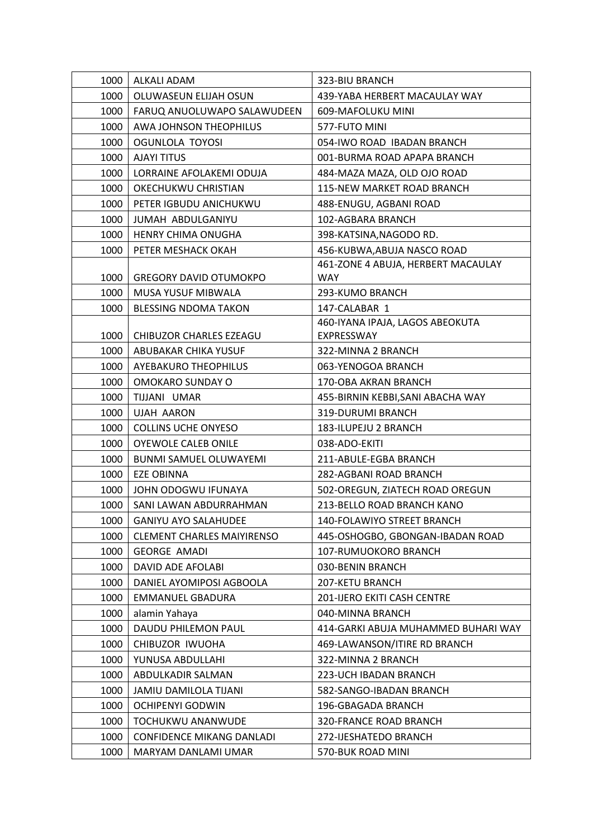| 1000 | ALKALI ADAM                       | 323-BIU BRANCH                      |
|------|-----------------------------------|-------------------------------------|
| 1000 | OLUWASEUN ELIJAH OSUN             | 439-YABA HERBERT MACAULAY WAY       |
| 1000 | FARUQ ANUOLUWAPO SALAWUDEEN       | 609-MAFOLUKU MINI                   |
| 1000 | AWA JOHNSON THEOPHILUS            | 577-FUTO MINI                       |
| 1000 | OGUNLOLA TOYOSI                   | 054-IWO ROAD IBADAN BRANCH          |
| 1000 | <b>AJAYI TITUS</b>                | 001-BURMA ROAD APAPA BRANCH         |
| 1000 | LORRAINE AFOLAKEMI ODUJA          | 484-MAZA MAZA, OLD OJO ROAD         |
| 1000 | OKECHUKWU CHRISTIAN               | 115-NEW MARKET ROAD BRANCH          |
| 1000 | PETER IGBUDU ANICHUKWU            | 488-ENUGU, AGBANI ROAD              |
| 1000 | JUMAH ABDULGANIYU                 | 102-AGBARA BRANCH                   |
| 1000 | <b>HENRY CHIMA ONUGHA</b>         | 398-KATSINA, NAGODO RD.             |
| 1000 | PETER MESHACK OKAH                | 456-KUBWA, ABUJA NASCO ROAD         |
|      |                                   | 461-ZONE 4 ABUJA, HERBERT MACAULAY  |
| 1000 | <b>GREGORY DAVID OTUMOKPO</b>     | <b>WAY</b>                          |
| 1000 | MUSA YUSUF MIBWALA                | 293-KUMO BRANCH                     |
| 1000 | <b>BLESSING NDOMA TAKON</b>       | 147-CALABAR 1                       |
|      |                                   | 460-IYANA IPAJA, LAGOS ABEOKUTA     |
| 1000 | CHIBUZOR CHARLES EZEAGU           | EXPRESSWAY                          |
| 1000 | ABUBAKAR CHIKA YUSUF              | 322-MINNA 2 BRANCH                  |
| 1000 | <b>AYEBAKURO THEOPHILUS</b>       | 063-YENOGOA BRANCH                  |
| 1000 | OMOKARO SUNDAY O                  | 170-OBA AKRAN BRANCH                |
| 1000 | TIJJANI UMAR                      | 455-BIRNIN KEBBI, SANI ABACHA WAY   |
| 1000 | <b>UJAH AARON</b>                 | 319-DURUMI BRANCH                   |
| 1000 | <b>COLLINS UCHE ONYESO</b>        | 183-ILUPEJU 2 BRANCH                |
| 1000 | <b>OYEWOLE CALEB ONILE</b>        | 038-ADO-EKITI                       |
| 1000 | BUNMI SAMUEL OLUWAYEMI            | 211-ABULE-EGBA BRANCH               |
| 1000 | <b>EZE OBINNA</b>                 | 282-AGBANI ROAD BRANCH              |
| 1000 | JOHN ODOGWU IFUNAYA               | 502-OREGUN, ZIATECH ROAD OREGUN     |
| 1000 | SANI LAWAN ABDURRAHMAN            | 213-BELLO ROAD BRANCH KANO          |
| 1000 | <b>GANIYU AYO SALAHUDEE</b>       | 140-FOLAWIYO STREET BRANCH          |
| 1000 | <b>CLEMENT CHARLES MAIYIRENSO</b> | 445-OSHOGBO, GBONGAN-IBADAN ROAD    |
| 1000 | <b>GEORGE AMADI</b>               | 107-RUMUOKORO BRANCH                |
| 1000 | DAVID ADE AFOLABI                 | 030-BENIN BRANCH                    |
| 1000 | DANIEL AYOMIPOSI AGBOOLA          | 207-KETU BRANCH                     |
| 1000 | <b>EMMANUEL GBADURA</b>           | 201-IJERO EKITI CASH CENTRE         |
| 1000 | alamin Yahaya                     | 040-MINNA BRANCH                    |
| 1000 | DAUDU PHILEMON PAUL               | 414-GARKI ABUJA MUHAMMED BUHARI WAY |
| 1000 | CHIBUZOR IWUOHA                   | 469-LAWANSON/ITIRE RD BRANCH        |
| 1000 | YUNUSA ABDULLAHI                  | 322-MINNA 2 BRANCH                  |
| 1000 | ABDULKADIR SALMAN                 | 223-UCH IBADAN BRANCH               |
| 1000 | JAMIU DAMILOLA TIJANI             | 582-SANGO-IBADAN BRANCH             |
| 1000 | <b>OCHIPENYI GODWIN</b>           | 196-GBAGADA BRANCH                  |
| 1000 | TOCHUKWU ANANWUDE                 | <b>320-FRANCE ROAD BRANCH</b>       |
| 1000 | <b>CONFIDENCE MIKANG DANLADI</b>  | 272-IJESHATEDO BRANCH               |
| 1000 | MARYAM DANLAMI UMAR               | 570-BUK ROAD MINI                   |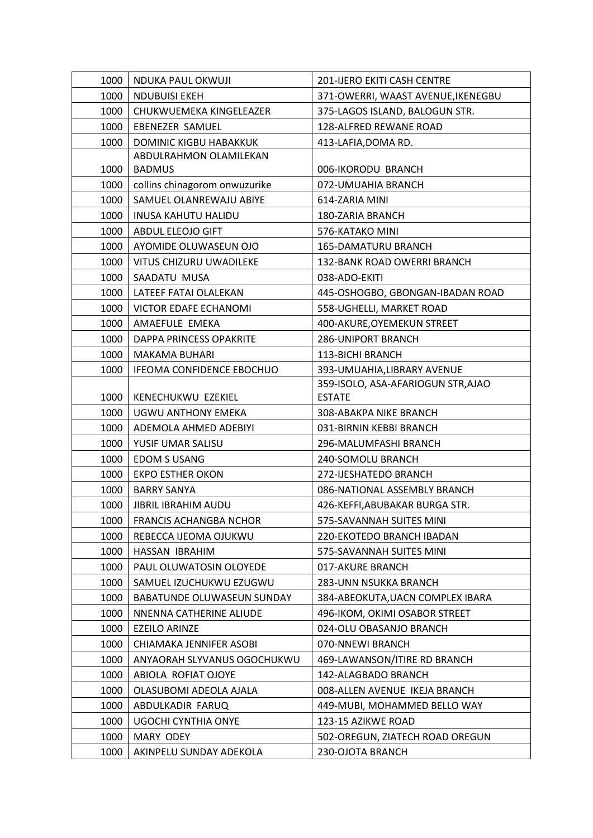| 1000 | NDUKA PAUL OKWUJI              | 201-IJERO EKITI CASH CENTRE        |
|------|--------------------------------|------------------------------------|
| 1000 | <b>NDUBUISI EKEH</b>           | 371-OWERRI, WAAST AVENUE, IKENEGBU |
| 1000 | CHUKWUEMEKA KINGELEAZER        | 375-LAGOS ISLAND, BALOGUN STR.     |
| 1000 | <b>EBENEZER SAMUEL</b>         | 128-ALFRED REWANE ROAD             |
| 1000 | <b>DOMINIC KIGBU HABAKKUK</b>  | 413-LAFIA, DOMA RD.                |
|      | ABDULRAHMON OLAMILEKAN         |                                    |
| 1000 | <b>BADMUS</b>                  | 006-IKORODU BRANCH                 |
| 1000 | collins chinagorom onwuzurike  | 072-UMUAHIA BRANCH                 |
| 1000 | SAMUEL OLANREWAJU ABIYE        | 614-ZARIA MINI                     |
| 1000 | <b>INUSA KAHUTU HALIDU</b>     | 180-ZARIA BRANCH                   |
| 1000 | ABDUL ELEOJO GIFT              | 576-KATAKO MINI                    |
| 1000 | AYOMIDE OLUWASEUN OJO          | <b>165-DAMATURU BRANCH</b>         |
| 1000 | VITUS CHIZURU UWADILEKE        | 132-BANK ROAD OWERRI BRANCH        |
| 1000 | SAADATU MUSA                   | 038-ADO-EKITI                      |
| 1000 | LATEEF FATAI OLALEKAN          | 445-OSHOGBO, GBONGAN-IBADAN ROAD   |
| 1000 | VICTOR EDAFE ECHANOMI          | 558-UGHELLI, MARKET ROAD           |
| 1000 | AMAEFULE EMEKA                 | 400-AKURE, OYEMEKUN STREET         |
| 1000 | <b>DAPPA PRINCESS OPAKRITE</b> | <b>286-UNIPORT BRANCH</b>          |
| 1000 | <b>MAKAMA BUHARI</b>           | 113-BICHI BRANCH                   |
| 1000 | IFEOMA CONFIDENCE EBOCHUO      | 393-UMUAHIA, LIBRARY AVENUE        |
|      |                                | 359-ISOLO, ASA-AFARIOGUN STR, AJAO |
| 1000 | KENECHUKWU EZEKIEL             | <b>ESTATE</b>                      |
| 1000 | UGWU ANTHONY EMEKA             | 308-ABAKPA NIKE BRANCH             |
| 1000 | ADEMOLA AHMED ADEBIYI          | 031-BIRNIN KEBBI BRANCH            |
| 1000 | YUSIF UMAR SALISU              | 296-MALUMFASHI BRANCH              |
| 1000 | <b>EDOM S USANG</b>            | 240-SOMOLU BRANCH                  |
| 1000 | <b>EKPO ESTHER OKON</b>        | 272-IJESHATEDO BRANCH              |
| 1000 | <b>BARRY SANYA</b>             | 086-NATIONAL ASSEMBLY BRANCH       |
| 1000 | <b>JIBRIL IBRAHIM AUDU</b>     | 426-KEFFI, ABUBAKAR BURGA STR.     |
| 1000 | <b>FRANCIS ACHANGBA NCHOR</b>  | 575-SAVANNAH SUITES MINI           |
| 1000 | REBECCA IJEOMA OJUKWU          | 220-EKOTEDO BRANCH IBADAN          |
| 1000 | HASSAN IBRAHIM                 | 575-SAVANNAH SUITES MINI           |
| 1000 | PAUL OLUWATOSIN OLOYEDE        | 017-AKURE BRANCH                   |
| 1000 | SAMUEL IZUCHUKWU EZUGWU        | 283-UNN NSUKKA BRANCH              |
| 1000 | BABATUNDE OLUWASEUN SUNDAY     | 384-ABEOKUTA, UACN COMPLEX IBARA   |
| 1000 | NNENNA CATHERINE ALIUDE        | 496-IKOM, OKIMI OSABOR STREET      |
| 1000 | <b>EZEILO ARINZE</b>           | 024-OLU OBASANJO BRANCH            |
| 1000 | CHIAMAKA JENNIFER ASOBI        | 070-NNEWI BRANCH                   |
| 1000 | ANYAORAH SLYVANUS OGOCHUKWU    | 469-LAWANSON/ITIRE RD BRANCH       |
| 1000 | ABIOLA ROFIAT OJOYE            | 142-ALAGBADO BRANCH                |
| 1000 | OLASUBOMI ADEOLA AJALA         | 008-ALLEN AVENUE IKEJA BRANCH      |
| 1000 | ABDULKADIR FARUQ               | 449-MUBI, MOHAMMED BELLO WAY       |
| 1000 | UGOCHI CYNTHIA ONYE            | 123-15 AZIKWE ROAD                 |
| 1000 | MARY ODEY                      | 502-OREGUN, ZIATECH ROAD OREGUN    |
| 1000 | AKINPELU SUNDAY ADEKOLA        | 230-OJOTA BRANCH                   |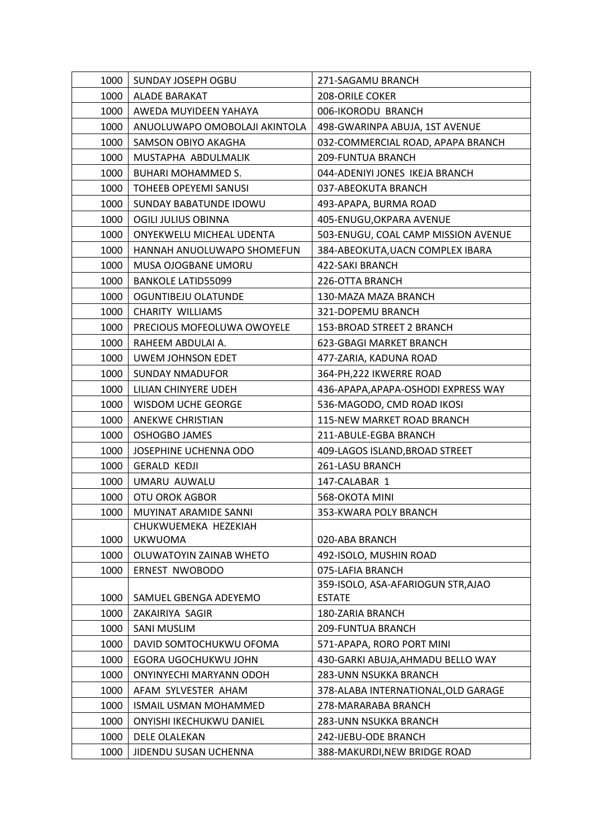| 1000 | SUNDAY JOSEPH OGBU            | 271-SAGAMU BRANCH                                   |
|------|-------------------------------|-----------------------------------------------------|
| 1000 | <b>ALADE BARAKAT</b>          | 208-ORILE COKER                                     |
| 1000 | AWEDA MUYIDEEN YAHAYA         | 006-IKORODU BRANCH                                  |
| 1000 | ANUOLUWAPO OMOBOLAJI AKINTOLA | 498-GWARINPA ABUJA, 1ST AVENUE                      |
| 1000 | SAMSON OBIYO AKAGHA           | 032-COMMERCIAL ROAD, APAPA BRANCH                   |
| 1000 | MUSTAPHA ABDULMALIK           | 209-FUNTUA BRANCH                                   |
| 1000 | <b>BUHARI MOHAMMED S.</b>     | 044-ADENIYI JONES IKEJA BRANCH                      |
| 1000 | <b>TOHEEB OPEYEMI SANUSI</b>  | 037-ABEOKUTA BRANCH                                 |
| 1000 | SUNDAY BABATUNDE IDOWU        | 493-APAPA, BURMA ROAD                               |
| 1000 | OGILI JULIUS OBINNA           | 405-ENUGU, OKPARA AVENUE                            |
| 1000 | ONYEKWELU MICHEAL UDENTA      | 503-ENUGU, COAL CAMP MISSION AVENUE                 |
| 1000 | HANNAH ANUOLUWAPO SHOMEFUN    | 384-ABEOKUTA, UACN COMPLEX IBARA                    |
| 1000 | MUSA OJOGBANE UMORU           | 422-SAKI BRANCH                                     |
| 1000 | <b>BANKOLE LATID55099</b>     | 226-OTTA BRANCH                                     |
| 1000 | OGUNTIBEJU OLATUNDE           | 130-MAZA MAZA BRANCH                                |
| 1000 | CHARITY WILLIAMS              | 321-DOPEMU BRANCH                                   |
| 1000 | PRECIOUS MOFEOLUWA OWOYELE    | 153-BROAD STREET 2 BRANCH                           |
| 1000 | RAHEEM ABDULAI A.             | 623-GBAGI MARKET BRANCH                             |
| 1000 | UWEM JOHNSON EDET             | 477-ZARIA, KADUNA ROAD                              |
| 1000 | <b>SUNDAY NMADUFOR</b>        | 364-PH, 222 IKWERRE ROAD                            |
| 1000 | LILIAN CHINYERE UDEH          | 436-APAPA, APAPA-OSHODI EXPRESS WAY                 |
| 1000 | <b>WISDOM UCHE GEORGE</b>     | 536-MAGODO, CMD ROAD IKOSI                          |
| 1000 | <b>ANEKWE CHRISTIAN</b>       | 115-NEW MARKET ROAD BRANCH                          |
| 1000 | <b>OSHOGBO JAMES</b>          | 211-ABULE-EGBA BRANCH                               |
| 1000 | JOSEPHINE UCHENNA ODO         | 409-LAGOS ISLAND, BROAD STREET                      |
| 1000 | <b>GERALD KEDJI</b>           | 261-LASU BRANCH                                     |
| 1000 | UMARU AUWALU                  | 147-CALABAR 1                                       |
| 1000 | OTU OROK AGBOR                | 568-OKOTA MINI                                      |
| 1000 | MUYINAT ARAMIDE SANNI         | 353-KWARA POLY BRANCH                               |
|      | CHUKWUEMEKA HEZEKIAH          |                                                     |
| 1000 | <b>UKWUOMA</b>                | 020-ABA BRANCH                                      |
| 1000 | OLUWATOYIN ZAINAB WHETO       | 492-ISOLO, MUSHIN ROAD                              |
| 1000 | <b>ERNEST NWOBODO</b>         | 075-LAFIA BRANCH                                    |
|      |                               | 359-ISOLO, ASA-AFARIOGUN STR, AJAO<br><b>ESTATE</b> |
| 1000 | SAMUEL GBENGA ADEYEMO         |                                                     |
| 1000 | ZAKAIRIYA SAGIR               | 180-ZARIA BRANCH                                    |
| 1000 | <b>SANI MUSLIM</b>            | 209-FUNTUA BRANCH                                   |
| 1000 | DAVID SOMTOCHUKWU OFOMA       | 571-APAPA, RORO PORT MINI                           |
| 1000 | EGORA UGOCHUKWU JOHN          | 430-GARKI ABUJA, AHMADU BELLO WAY                   |
| 1000 | ONYINYECHI MARYANN ODOH       | 283-UNN NSUKKA BRANCH                               |
| 1000 | AFAM SYLVESTER AHAM           | 378-ALABA INTERNATIONAL, OLD GARAGE                 |
| 1000 | <b>ISMAIL USMAN MOHAMMED</b>  | 278-MARARABA BRANCH                                 |
| 1000 | ONYISHI IKECHUKWU DANIEL      | 283-UNN NSUKKA BRANCH                               |
| 1000 | <b>DELE OLALEKAN</b>          | 242-IJEBU-ODE BRANCH                                |
| 1000 | JIDENDU SUSAN UCHENNA         | 388-MAKURDI, NEW BRIDGE ROAD                        |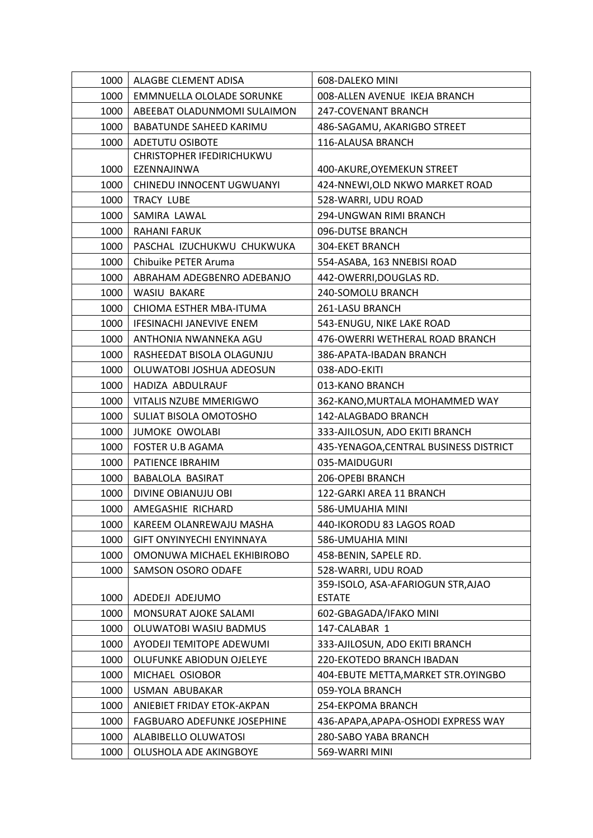| 1000 | ALAGBE CLEMENT ADISA            | 608-DALEKO MINI                        |
|------|---------------------------------|----------------------------------------|
| 1000 | EMMNUELLA OLOLADE SORUNKE       | 008-ALLEN AVENUE IKEJA BRANCH          |
| 1000 | ABEEBAT OLADUNMOMI SULAIMON     | 247-COVENANT BRANCH                    |
| 1000 | BABATUNDE SAHEED KARIMU         | 486-SAGAMU, AKARIGBO STREET            |
| 1000 | <b>ADETUTU OSIBOTE</b>          | 116-ALAUSA BRANCH                      |
|      | CHRISTOPHER IFEDIRICHUKWU       |                                        |
| 1000 | EZENNAJINWA                     | 400-AKURE, OYEMEKUN STREET             |
| 1000 | CHINEDU INNOCENT UGWUANYI       | 424-NNEWI, OLD NKWO MARKET ROAD        |
| 1000 | <b>TRACY LUBE</b>               | 528-WARRI, UDU ROAD                    |
| 1000 | SAMIRA LAWAL                    | 294-UNGWAN RIMI BRANCH                 |
| 1000 | <b>RAHANI FARUK</b>             | 096-DUTSE BRANCH                       |
| 1000 | PASCHAL IZUCHUKWU CHUKWUKA      | <b>304-EKET BRANCH</b>                 |
| 1000 | Chibuike PETER Aruma            | 554-ASABA, 163 NNEBISI ROAD            |
| 1000 | ABRAHAM ADEGBENRO ADEBANJO      | 442-OWERRI, DOUGLAS RD.                |
| 1000 | WASIU BAKARE                    | 240-SOMOLU BRANCH                      |
| 1000 | CHIOMA ESTHER MBA-ITUMA         | 261-LASU BRANCH                        |
| 1000 | <b>IFESINACHI JANEVIVE ENEM</b> | 543-ENUGU, NIKE LAKE ROAD              |
| 1000 | ANTHONIA NWANNEKA AGU           | 476-OWERRI WETHERAL ROAD BRANCH        |
| 1000 | RASHEEDAT BISOLA OLAGUNJU       | 386-APATA-IBADAN BRANCH                |
| 1000 | OLUWATOBI JOSHUA ADEOSUN        | 038-ADO-EKITI                          |
| 1000 | HADIZA ABDULRAUF                | 013-KANO BRANCH                        |
| 1000 | VITALIS NZUBE MMERIGWO          | 362-KANO, MURTALA MOHAMMED WAY         |
| 1000 | SULIAT BISOLA OMOTOSHO          | 142-ALAGBADO BRANCH                    |
| 1000 | JUMOKE OWOLABI                  | 333-AJILOSUN, ADO EKITI BRANCH         |
| 1000 | FOSTER U.B AGAMA                | 435-YENAGOA, CENTRAL BUSINESS DISTRICT |
| 1000 | PATIENCE IBRAHIM                | 035-MAIDUGURI                          |
| 1000 | BABALOLA BASIRAT                | 206-OPEBI BRANCH                       |
| 1000 | DIVINE OBIANUJU OBI             | 122-GARKI AREA 11 BRANCH               |
| 1000 | AMEGASHIE RICHARD               | 586-UMUAHIA MINI                       |
| 1000 | KAREEM OLANREWAJU MASHA         | 440-IKORODU 83 LAGOS ROAD              |
| 1000 | GIFT ONYINYECHI ENYINNAYA       | 586-UMUAHIA MINI                       |
| 1000 | OMONUWA MICHAEL EKHIBIROBO      | 458-BENIN, SAPELE RD.                  |
| 1000 | SAMSON OSORO ODAFE              | 528-WARRI, UDU ROAD                    |
|      |                                 | 359-ISOLO, ASA-AFARIOGUN STR, AJAO     |
| 1000 | ADEDEJI ADEJUMO                 | <b>ESTATE</b>                          |
| 1000 | MONSURAT AJOKE SALAMI           | 602-GBAGADA/IFAKO MINI                 |
| 1000 | OLUWATOBI WASIU BADMUS          | 147-CALABAR 1                          |
| 1000 | AYODEJI TEMITOPE ADEWUMI        | 333-AJILOSUN, ADO EKITI BRANCH         |
| 1000 | OLUFUNKE ABIODUN OJELEYE        | 220-EKOTEDO BRANCH IBADAN              |
| 1000 | MICHAEL OSIOBOR                 | 404-EBUTE METTA, MARKET STR. OYINGBO   |
| 1000 | USMAN ABUBAKAR                  | 059-YOLA BRANCH                        |
| 1000 | ANIEBIET FRIDAY ETOK-AKPAN      | 254-EKPOMA BRANCH                      |
| 1000 | FAGBUARO ADEFUNKE JOSEPHINE     | 436-APAPA, APAPA-OSHODI EXPRESS WAY    |
| 1000 | ALABIBELLO OLUWATOSI            | 280-SABO YABA BRANCH                   |
| 1000 | OLUSHOLA ADE AKINGBOYE          | 569-WARRI MINI                         |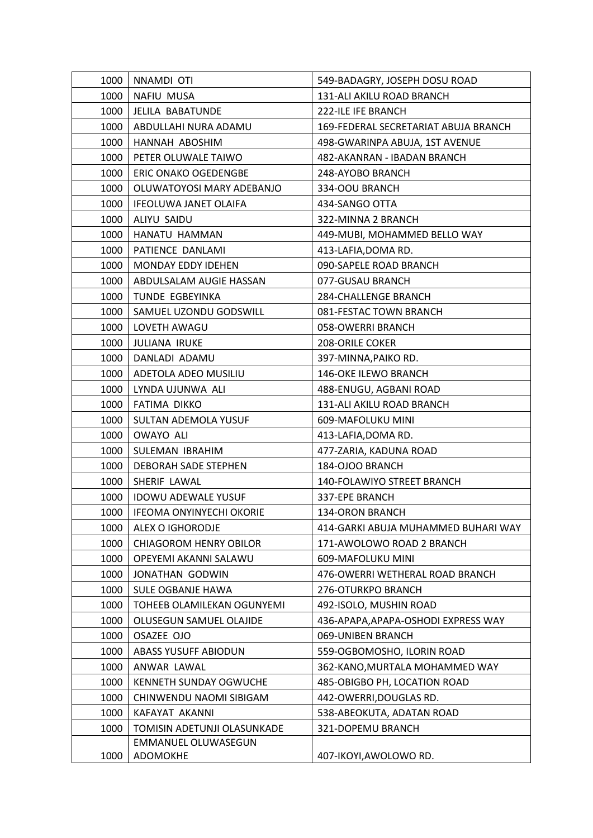| 1000 | NNAMDI OTI                      | 549-BADAGRY, JOSEPH DOSU ROAD        |
|------|---------------------------------|--------------------------------------|
| 1000 | NAFIU MUSA                      | 131-ALI AKILU ROAD BRANCH            |
| 1000 | JELILA BABATUNDE                | 222-ILE IFE BRANCH                   |
| 1000 | ABDULLAHI NURA ADAMU            | 169-FEDERAL SECRETARIAT ABUJA BRANCH |
| 1000 | HANNAH ABOSHIM                  | 498-GWARINPA ABUJA, 1ST AVENUE       |
| 1000 | PETER OLUWALE TAIWO             | 482-AKANRAN - IBADAN BRANCH          |
| 1000 | <b>ERIC ONAKO OGEDENGBE</b>     | 248-AYOBO BRANCH                     |
| 1000 | OLUWATOYOSI MARY ADEBANJO       | 334-OOU BRANCH                       |
| 1000 | IFEOLUWA JANET OLAIFA           | 434-SANGO OTTA                       |
| 1000 | ALIYU SAIDU                     | 322-MINNA 2 BRANCH                   |
| 1000 | HANATU HAMMAN                   | 449-MUBI, MOHAMMED BELLO WAY         |
| 1000 | PATIENCE DANLAMI                | 413-LAFIA, DOMA RD.                  |
| 1000 | <b>MONDAY EDDY IDEHEN</b>       | 090-SAPELE ROAD BRANCH               |
| 1000 | ABDULSALAM AUGIE HASSAN         | 077-GUSAU BRANCH                     |
| 1000 | TUNDE EGBEYINKA                 | <b>284-CHALLENGE BRANCH</b>          |
| 1000 | SAMUEL UZONDU GODSWILL          | 081-FESTAC TOWN BRANCH               |
| 1000 | LOVETH AWAGU                    | 058-OWERRI BRANCH                    |
| 1000 | JULIANA IRUKE                   | <b>208-ORILE COKER</b>               |
| 1000 | DANLADI ADAMU                   | 397-MINNA, PAIKO RD.                 |
| 1000 | ADETOLA ADEO MUSILIU            | 146-OKE ILEWO BRANCH                 |
| 1000 | LYNDA UJUNWA ALI                | 488-ENUGU, AGBANI ROAD               |
| 1000 | <b>FATIMA DIKKO</b>             | 131-ALI AKILU ROAD BRANCH            |
| 1000 | SULTAN ADEMOLA YUSUF            | 609-MAFOLUKU MINI                    |
| 1000 | <b>OWAYO ALI</b>                | 413-LAFIA, DOMA RD.                  |
| 1000 | SULEMAN IBRAHIM                 | 477-ZARIA, KADUNA ROAD               |
| 1000 | DEBORAH SADE STEPHEN            | 184-OJOO BRANCH                      |
| 1000 | SHERIF LAWAL                    | 140-FOLAWIYO STREET BRANCH           |
| 1000 | <b>IDOWU ADEWALE YUSUF</b>      | 337-EPE BRANCH                       |
| 1000 | <b>IFEOMA ONYINYECHI OKORIE</b> | <b>134-ORON BRANCH</b>               |
| 1000 | <b>ALEX O IGHORODJE</b>         | 414-GARKI ABUJA MUHAMMED BUHARI WAY  |
| 1000 | <b>CHIAGOROM HENRY OBILOR</b>   | 171-AWOLOWO ROAD 2 BRANCH            |
| 1000 | OPEYEMI AKANNI SALAWU           | 609-MAFOLUKU MINI                    |
| 1000 | JONATHAN GODWIN                 | 476-OWERRI WETHERAL ROAD BRANCH      |
| 1000 | SULE OGBANJE HAWA               | 276-OTURKPO BRANCH                   |
| 1000 | TOHEEB OLAMILEKAN OGUNYEMI      | 492-ISOLO, MUSHIN ROAD               |
| 1000 | OLUSEGUN SAMUEL OLAJIDE         | 436-APAPA, APAPA-OSHODI EXPRESS WAY  |
| 1000 | OSAZEE OJO                      | 069-UNIBEN BRANCH                    |
| 1000 | <b>ABASS YUSUFF ABIODUN</b>     | 559-OGBOMOSHO, ILORIN ROAD           |
| 1000 | ANWAR LAWAL                     | 362-KANO, MURTALA MOHAMMED WAY       |
| 1000 | KENNETH SUNDAY OGWUCHE          | 485-OBIGBO PH, LOCATION ROAD         |
| 1000 | CHINWENDU NAOMI SIBIGAM         | 442-OWERRI, DOUGLAS RD.              |
| 1000 | KAFAYAT AKANNI                  | 538-ABEOKUTA, ADATAN ROAD            |
| 1000 | TOMISIN ADETUNJI OLASUNKADE     | 321-DOPEMU BRANCH                    |
|      | EMMANUEL OLUWASEGUN             |                                      |
| 1000 | ADOMOKHE                        | 407-IKOYI, AWOLOWO RD.               |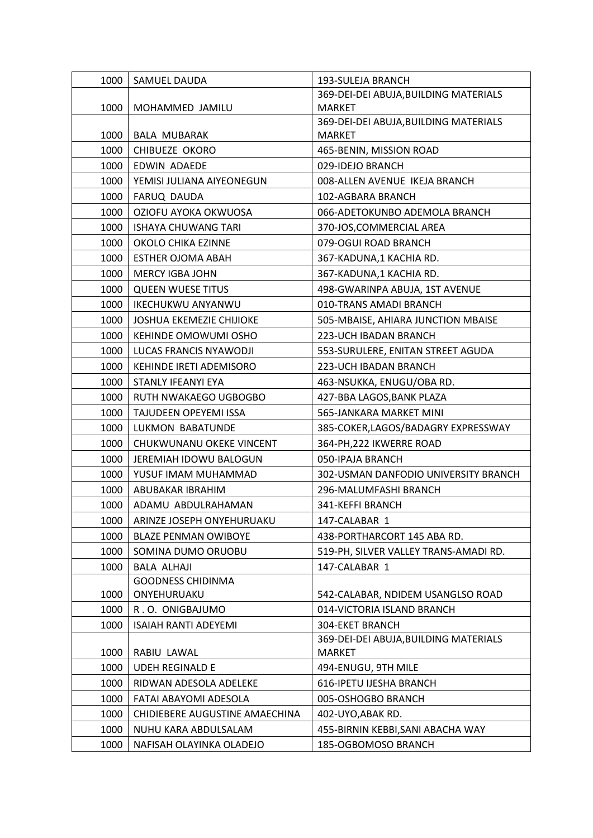| 1000 | SAMUEL DAUDA                    | 193-SULEJA BRANCH                     |
|------|---------------------------------|---------------------------------------|
|      |                                 | 369-DEI-DEI ABUJA, BUILDING MATERIALS |
| 1000 | MOHAMMED JAMILU                 | <b>MARKET</b>                         |
|      |                                 | 369-DEI-DEI ABUJA, BUILDING MATERIALS |
| 1000 | <b>BALA MUBARAK</b>             | <b>MARKET</b>                         |
| 1000 | CHIBUEZE OKORO                  | 465-BENIN, MISSION ROAD               |
| 1000 | EDWIN ADAEDE                    | 029-IDEJO BRANCH                      |
| 1000 | YEMISI JULIANA AIYEONEGUN       | 008-ALLEN AVENUE IKEJA BRANCH         |
| 1000 | FARUQ DAUDA                     | 102-AGBARA BRANCH                     |
| 1000 | OZIOFU AYOKA OKWUOSA            | 066-ADETOKUNBO ADEMOLA BRANCH         |
| 1000 | <b>ISHAYA CHUWANG TARI</b>      | 370-JOS, COMMERCIAL AREA              |
| 1000 | OKOLO CHIKA EZINNE              | 079-OGUI ROAD BRANCH                  |
| 1000 | <b>ESTHER OJOMA ABAH</b>        | 367-KADUNA,1 KACHIA RD.               |
| 1000 | <b>MERCY IGBA JOHN</b>          | 367-KADUNA,1 KACHIA RD.               |
| 1000 | <b>QUEEN WUESE TITUS</b>        | 498-GWARINPA ABUJA, 1ST AVENUE        |
| 1000 | <b>IKECHUKWU ANYANWU</b>        | 010-TRANS AMADI BRANCH                |
| 1000 | <b>JOSHUA EKEMEZIE CHIJIOKE</b> | 505-MBAISE, AHIARA JUNCTION MBAISE    |
| 1000 | KEHINDE OMOWUMI OSHO            | 223-UCH IBADAN BRANCH                 |
| 1000 | LUCAS FRANCIS NYAWODJI          | 553-SURULERE, ENITAN STREET AGUDA     |
| 1000 | KEHINDE IRETI ADEMISORO         | 223-UCH IBADAN BRANCH                 |
| 1000 | STANLY IFEANYI EYA              | 463-NSUKKA, ENUGU/OBA RD.             |
| 1000 | RUTH NWAKAEGO UGBOGBO           | 427-BBA LAGOS, BANK PLAZA             |
| 1000 | TAJUDEEN OPEYEMI ISSA           | 565-JANKARA MARKET MINI               |
| 1000 | LUKMON BABATUNDE                | 385-COKER,LAGOS/BADAGRY EXPRESSWAY    |
| 1000 | CHUKWUNANU OKEKE VINCENT        | 364-PH, 222 IKWERRE ROAD              |
| 1000 | JEREMIAH IDOWU BALOGUN          | 050-IPAJA BRANCH                      |
| 1000 | YUSUF IMAM MUHAMMAD             | 302-USMAN DANFODIO UNIVERSITY BRANCH  |
| 1000 | ABUBAKAR IBRAHIM                | 296-MALUMFASHI BRANCH                 |
| 1000 | ADAMU ABDULRAHAMAN              | 341-KEFFI BRANCH                      |
| 1000 | ARINZE JOSEPH ONYEHURUAKU       | 147-CALABAR 1                         |
| 1000 | <b>BLAZE PENMAN OWIBOYE</b>     | 438-PORTHARCORT 145 ABA RD.           |
| 1000 | SOMINA DUMO ORUOBU              | 519-PH, SILVER VALLEY TRANS-AMADI RD. |
| 1000 | <b>BALA ALHAJI</b>              | 147-CALABAR 1                         |
|      | <b>GOODNESS CHIDINMA</b>        |                                       |
| 1000 | ONYEHURUAKU                     | 542-CALABAR, NDIDEM USANGLSO ROAD     |
| 1000 | R.O. ONIGBAJUMO                 | 014-VICTORIA ISLAND BRANCH            |
| 1000 | <b>ISAIAH RANTI ADEYEMI</b>     | <b>304-EKET BRANCH</b>                |
|      |                                 | 369-DEI-DEI ABUJA, BUILDING MATERIALS |
| 1000 | RABIU LAWAL                     | <b>MARKET</b>                         |
| 1000 | <b>UDEH REGINALD E</b>          | 494-ENUGU, 9TH MILE                   |
| 1000 | RIDWAN ADESOLA ADELEKE          | 616-IPETU IJESHA BRANCH               |
| 1000 | FATAI ABAYOMI ADESOLA           | 005-OSHOGBO BRANCH                    |
| 1000 | CHIDIEBERE AUGUSTINE AMAECHINA  | 402-UYO, ABAK RD.                     |
| 1000 | NUHU KARA ABDULSALAM            | 455-BIRNIN KEBBI, SANI ABACHA WAY     |
| 1000 | NAFISAH OLAYINKA OLADEJO        | 185-OGBOMOSO BRANCH                   |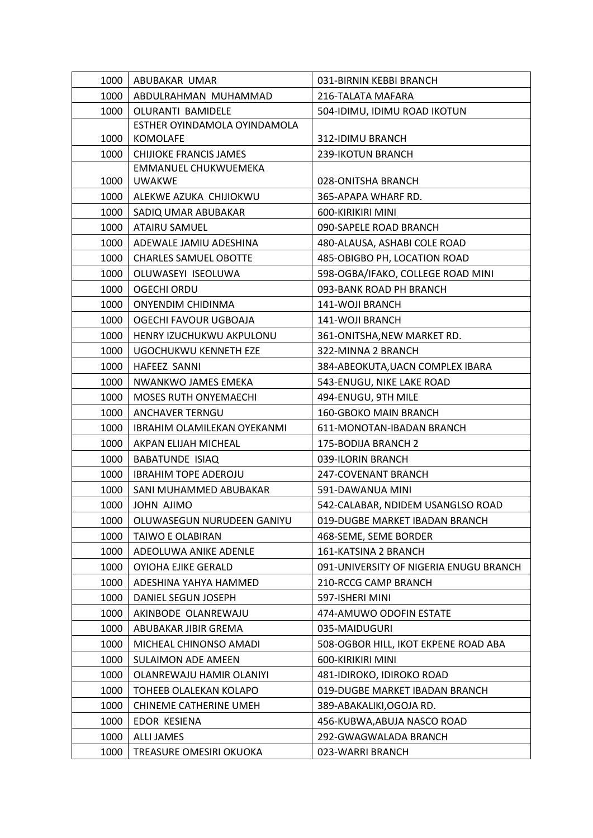| 1000 | ABUBAKAR UMAR                 | 031-BIRNIN KEBBI BRANCH                |
|------|-------------------------------|----------------------------------------|
| 1000 | ABDULRAHMAN MUHAMMAD          | 216-TALATA MAFARA                      |
| 1000 | OLURANTI BAMIDELE             | 504-IDIMU, IDIMU ROAD IKOTUN           |
|      | ESTHER OYINDAMOLA OYINDAMOLA  |                                        |
| 1000 | KOMOLAFE                      | 312-IDIMU BRANCH                       |
| 1000 | <b>CHIJIOKE FRANCIS JAMES</b> | 239-IKOTUN BRANCH                      |
|      | EMMANUEL CHUKWUEMEKA          |                                        |
| 1000 | <b>UWAKWE</b>                 | 028-ONITSHA BRANCH                     |
| 1000 | ALEKWE AZUKA CHIJIOKWU        | 365-APAPA WHARF RD.                    |
| 1000 | SADIQ UMAR ABUBAKAR           | 600-KIRIKIRI MINI                      |
| 1000 | ATAIRU SAMUEL                 | 090-SAPELE ROAD BRANCH                 |
| 1000 | ADEWALE JAMIU ADESHINA        | 480-ALAUSA, ASHABI COLE ROAD           |
| 1000 | <b>CHARLES SAMUEL OBOTTE</b>  | 485-OBIGBO PH, LOCATION ROAD           |
| 1000 | OLUWASEYI ISEOLUWA            | 598-OGBA/IFAKO, COLLEGE ROAD MINI      |
| 1000 | <b>OGECHI ORDU</b>            | 093-BANK ROAD PH BRANCH                |
| 1000 | <b>ONYENDIM CHIDINMA</b>      | 141-WOJI BRANCH                        |
| 1000 | OGECHI FAVOUR UGBOAJA         | 141-WOJI BRANCH                        |
| 1000 | HENRY IZUCHUKWU AKPULONU      | 361-ONITSHA, NEW MARKET RD.            |
| 1000 | UGOCHUKWU KENNETH EZE         | 322-MINNA 2 BRANCH                     |
| 1000 | HAFEEZ SANNI                  | 384-ABEOKUTA, UACN COMPLEX IBARA       |
| 1000 | NWANKWO JAMES EMEKA           | 543-ENUGU, NIKE LAKE ROAD              |
| 1000 | <b>MOSES RUTH ONYEMAECHI</b>  | 494-ENUGU, 9TH MILE                    |
| 1000 | <b>ANCHAVER TERNGU</b>        | 160-GBOKO MAIN BRANCH                  |
| 1000 | IBRAHIM OLAMILEKAN OYEKANMI   | 611-MONOTAN-IBADAN BRANCH              |
| 1000 | AKPAN ELIJAH MICHEAL          | 175-BODIJA BRANCH 2                    |
| 1000 | <b>BABATUNDE ISIAQ</b>        | 039-ILORIN BRANCH                      |
| 1000 | <b>IBRAHIM TOPE ADEROJU</b>   | 247-COVENANT BRANCH                    |
| 1000 | SANI MUHAMMED ABUBAKAR        | 591-DAWANUA MINI                       |
| 1000 | JOHN AJIMO                    | 542-CALABAR, NDIDEM USANGLSO ROAD      |
| 1000 | OLUWASEGUN NURUDEEN GANIYU    | 019-DUGBE MARKET IBADAN BRANCH         |
| 1000 | TAIWO E OLABIRAN              | 468-SEME, SEME BORDER                  |
| 1000 | ADEOLUWA ANIKE ADENLE         | 161-KATSINA 2 BRANCH                   |
| 1000 | OYIOHA EJIKE GERALD           | 091-UNIVERSITY OF NIGERIA ENUGU BRANCH |
| 1000 | ADESHINA YAHYA HAMMED         | 210-RCCG CAMP BRANCH                   |
| 1000 | DANIEL SEGUN JOSEPH           | 597-ISHERI MINI                        |
| 1000 | AKINBODE OLANREWAJU           | 474-AMUWO ODOFIN ESTATE                |
| 1000 | ABUBAKAR JIBIR GREMA          | 035-MAIDUGURI                          |
| 1000 | MICHEAL CHINONSO AMADI        | 508-OGBOR HILL, IKOT EKPENE ROAD ABA   |
| 1000 | <b>SULAIMON ADE AMEEN</b>     | 600-KIRIKIRI MINI                      |
| 1000 | OLANREWAJU HAMIR OLANIYI      | 481-IDIROKO, IDIROKO ROAD              |
| 1000 | TOHEEB OLALEKAN KOLAPO        | 019-DUGBE MARKET IBADAN BRANCH         |
| 1000 | CHINEME CATHERINE UMEH        | 389-ABAKALIKI, OGOJA RD.               |
| 1000 | EDOR KESIENA                  | 456-KUBWA, ABUJA NASCO ROAD            |
| 1000 | <b>ALLI JAMES</b>             | 292-GWAGWALADA BRANCH                  |
| 1000 | TREASURE OMESIRI OKUOKA       | 023-WARRI BRANCH                       |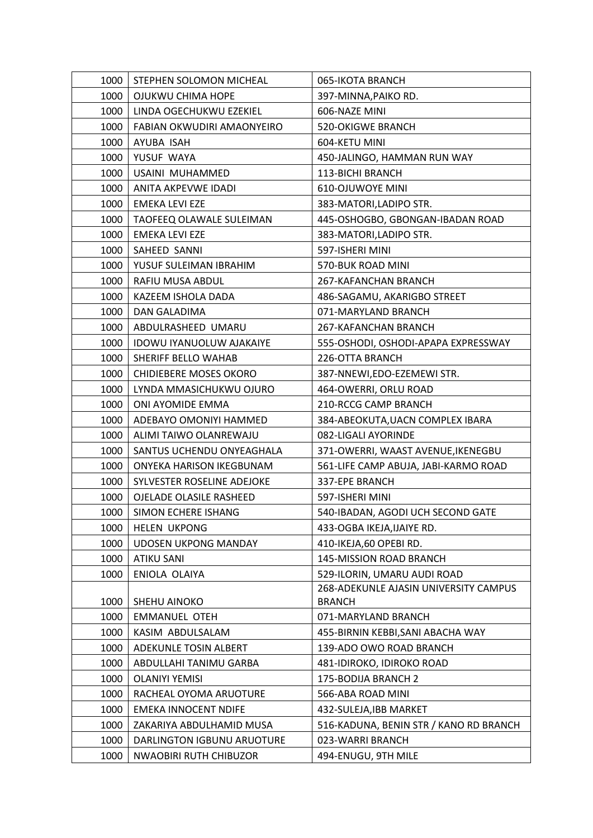| 1000 | STEPHEN SOLOMON MICHEAL         | 065-IKOTA BRANCH                       |
|------|---------------------------------|----------------------------------------|
| 1000 | OJUKWU CHIMA HOPE               | 397-MINNA, PAIKO RD.                   |
| 1000 | LINDA OGECHUKWU EZEKIEL         | 606-NAZE MINI                          |
| 1000 | FABIAN OKWUDIRI AMAONYEIRO      | <b>520-OKIGWE BRANCH</b>               |
| 1000 | AYUBA ISAH                      | 604-KETU MINI                          |
| 1000 | YUSUF WAYA                      | 450-JALINGO, HAMMAN RUN WAY            |
| 1000 | USAINI MUHAMMED                 | 113-BICHI BRANCH                       |
| 1000 | ANITA AKPEVWE IDADI             | <b>610-OJUWOYE MINI</b>                |
| 1000 | EMEKA LEVI EZE                  | 383-MATORI, LADIPO STR.                |
| 1000 | TAOFEEQ OLAWALE SULEIMAN        | 445-OSHOGBO, GBONGAN-IBADAN ROAD       |
| 1000 | EMEKA LEVI EZE                  | 383-MATORI, LADIPO STR.                |
| 1000 | SAHEED SANNI                    | 597-ISHERI MINI                        |
| 1000 | YUSUF SULEIMAN IBRAHIM          | 570-BUK ROAD MINI                      |
| 1000 | RAFIU MUSA ABDUL                | 267-KAFANCHAN BRANCH                   |
| 1000 | KAZEEM ISHOLA DADA              | 486-SAGAMU, AKARIGBO STREET            |
| 1000 | <b>DAN GALADIMA</b>             | 071-MARYLAND BRANCH                    |
| 1000 | ABDULRASHEED UMARU              | 267-KAFANCHAN BRANCH                   |
| 1000 | <b>IDOWU IYANUOLUW AJAKAIYE</b> | 555-OSHODI, OSHODI-APAPA EXPRESSWAY    |
| 1000 | SHERIFF BELLO WAHAB             | 226-OTTA BRANCH                        |
| 1000 | <b>CHIDIEBERE MOSES OKORO</b>   | 387-NNEWI,EDO-EZEMEWI STR.             |
| 1000 | LYNDA MMASICHUKWU OJURO         | 464-OWERRI, ORLU ROAD                  |
| 1000 | ONI AYOMIDE EMMA                | 210-RCCG CAMP BRANCH                   |
| 1000 | ADEBAYO OMONIYI HAMMED          | 384-ABEOKUTA, UACN COMPLEX IBARA       |
| 1000 | ALIMI TAIWO OLANREWAJU          | 082-LIGALI AYORINDE                    |
| 1000 | SANTUS UCHENDU ONYEAGHALA       | 371-OWERRI, WAAST AVENUE, IKENEGBU     |
| 1000 | <b>ONYEKA HARISON IKEGBUNAM</b> | 561-LIFE CAMP ABUJA, JABI-KARMO ROAD   |
| 1000 | SYLVESTER ROSELINE ADEJOKE      | 337-EPE BRANCH                         |
| 1000 | OJELADE OLASILE RASHEED         | 597-ISHERI MINI                        |
| 1000 | SIMON ECHERE ISHANG             | 540-IBADAN, AGODI UCH SECOND GATE      |
| 1000 | <b>HELEN UKPONG</b>             | 433-OGBA IKEJA, IJAIYE RD.             |
| 1000 | <b>UDOSEN UKPONG MANDAY</b>     | 410-IKEJA,60 OPEBI RD.                 |
| 1000 | <b>ATIKU SANI</b>               | 145-MISSION ROAD BRANCH                |
| 1000 | ENIOLA OLAIYA                   | 529-ILORIN, UMARU AUDI ROAD            |
|      |                                 | 268-ADEKUNLE AJASIN UNIVERSITY CAMPUS  |
| 1000 | SHEHU AINOKO                    | <b>BRANCH</b>                          |
| 1000 | <b>EMMANUEL OTEH</b>            | 071-MARYLAND BRANCH                    |
| 1000 | KASIM ABDULSALAM                | 455-BIRNIN KEBBI, SANI ABACHA WAY      |
| 1000 | ADEKUNLE TOSIN ALBERT           | 139-ADO OWO ROAD BRANCH                |
| 1000 | ABDULLAHI TANIMU GARBA          | 481-IDIROKO, IDIROKO ROAD              |
| 1000 | <b>OLANIYI YEMISI</b>           | 175-BODIJA BRANCH 2                    |
| 1000 | RACHEAL OYOMA ARUOTURE          | 566-ABA ROAD MINI                      |
| 1000 | <b>EMEKA INNOCENT NDIFE</b>     | 432-SULEJA, IBB MARKET                 |
| 1000 | ZAKARIYA ABDULHAMID MUSA        | 516-KADUNA, BENIN STR / KANO RD BRANCH |
| 1000 | DARLINGTON IGBUNU ARUOTURE      | 023-WARRI BRANCH                       |
| 1000 | <b>NWAOBIRI RUTH CHIBUZOR</b>   | 494-ENUGU, 9TH MILE                    |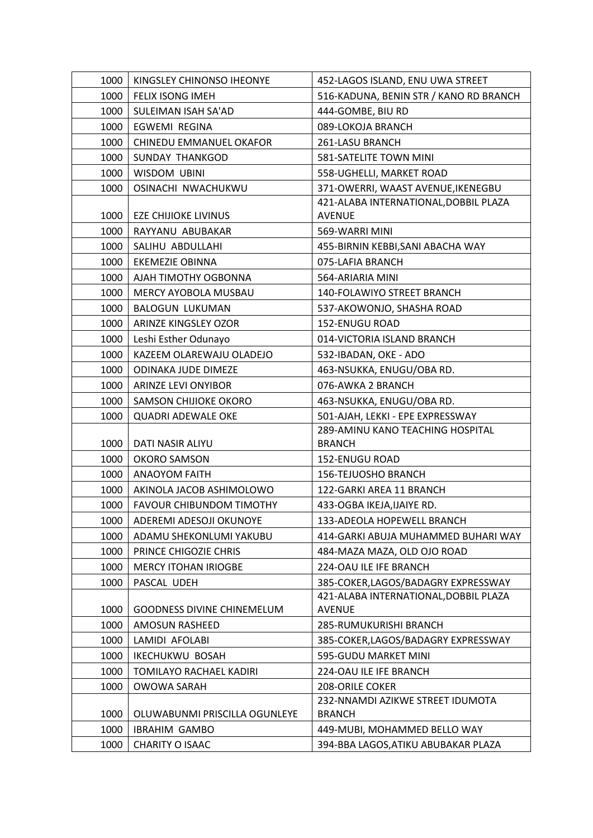| 1000 | KINGSLEY CHINONSO IHEONYE         | 452-LAGOS ISLAND, ENU UWA STREET                  |
|------|-----------------------------------|---------------------------------------------------|
| 1000 | FELIX ISONG IMEH                  | 516-KADUNA, BENIN STR / KANO RD BRANCH            |
| 1000 | SULEIMAN ISAH SA'AD               | 444-GOMBE, BIU RD                                 |
| 1000 | EGWEMI REGINA                     | 089-LOKOJA BRANCH                                 |
| 1000 | CHINEDU EMMANUEL OKAFOR           | 261-LASU BRANCH                                   |
| 1000 | <b>SUNDAY THANKGOD</b>            | 581-SATELITE TOWN MINI                            |
| 1000 | WISDOM UBINI                      | 558-UGHELLI, MARKET ROAD                          |
| 1000 | OSINACHI NWACHUKWU                | 371-OWERRI, WAAST AVENUE, IKENEGBU                |
|      |                                   | 421-ALABA INTERNATIONAL, DOBBIL PLAZA             |
| 1000 | <b>EZE CHIJIOKE LIVINUS</b>       | <b>AVENUE</b>                                     |
| 1000 | RAYYANU ABUBAKAR                  | 569-WARRI MINI                                    |
| 1000 | SALIHU ABDULLAHI                  | 455-BIRNIN KEBBI, SANI ABACHA WAY                 |
| 1000 | <b>EKEMEZIE OBINNA</b>            | 075-LAFIA BRANCH                                  |
| 1000 | AJAH TIMOTHY OGBONNA              | 564-ARIARIA MINI                                  |
| 1000 | MERCY AYOBOLA MUSBAU              | 140-FOLAWIYO STREET BRANCH                        |
| 1000 | <b>BALOGUN LUKUMAN</b>            | 537-AKOWONJO, SHASHA ROAD                         |
| 1000 | ARINZE KINGSLEY OZOR              | 152-ENUGU ROAD                                    |
| 1000 | Leshi Esther Odunayo              | 014-VICTORIA ISLAND BRANCH                        |
| 1000 | KAZEEM OLAREWAJU OLADEJO          | 532-IBADAN, OKE - ADO                             |
| 1000 | ODINAKA JUDE DIMEZE               | 463-NSUKKA, ENUGU/OBA RD.                         |
| 1000 | ARINZE LEVI ONYIBOR               | 076-AWKA 2 BRANCH                                 |
| 1000 | SAMSON CHIJIOKE OKORO             | 463-NSUKKA, ENUGU/OBA RD.                         |
| 1000 | <b>QUADRI ADEWALE OKE</b>         | 501-AJAH, LEKKI - EPE EXPRESSWAY                  |
| 1000 | DATI NASIR ALIYU                  | 289-AMINU KANO TEACHING HOSPITAL<br><b>BRANCH</b> |
| 1000 | <b>OKORO SAMSON</b>               | 152-ENUGU ROAD                                    |
| 1000 | <b>ANAOYOM FAITH</b>              | 156-TEJUOSHO BRANCH                               |
| 1000 | AKINOLA JACOB ASHIMOLOWO          | 122-GARKI AREA 11 BRANCH                          |
| 1000 | <b>FAVOUR CHIBUNDOM TIMOTHY</b>   | 433-OGBA IKEJA, IJAIYE RD.                        |
| 1000 | ADEREMI ADESOJI OKUNOYE           | 133-ADEOLA HOPEWELL BRANCH                        |
| 1000 | ADAMU SHEKONLUMI YAKUBU           | 414-GARKI ABUJA MUHAMMED BUHARI WAY               |
| 1000 | PRINCE CHIGOZIE CHRIS             | 484-MAZA MAZA, OLD OJO ROAD                       |
| 1000 | <b>MERCY ITOHAN IRIOGBE</b>       | 224-OAU ILE IFE BRANCH                            |
| 1000 | PASCAL UDEH                       | 385-COKER, LAGOS/BADAGRY EXPRESSWAY               |
|      |                                   | 421-ALABA INTERNATIONAL, DOBBIL PLAZA             |
| 1000 | <b>GOODNESS DIVINE CHINEMELUM</b> | <b>AVENUE</b>                                     |
| 1000 | <b>AMOSUN RASHEED</b>             | 285-RUMUKURISHI BRANCH                            |
| 1000 | LAMIDI AFOLABI                    | 385-COKER,LAGOS/BADAGRY EXPRESSWAY                |
| 1000 | <b>IKECHUKWU BOSAH</b>            | 595-GUDU MARKET MINI                              |
| 1000 | TOMILAYO RACHAEL KADIRI           | 224-OAU ILE IFE BRANCH                            |
| 1000 | <b>OWOWA SARAH</b>                | 208-ORILE COKER                                   |
|      |                                   | 232-NNAMDI AZIKWE STREET IDUMOTA                  |
| 1000 | OLUWABUNMI PRISCILLA OGUNLEYE     | <b>BRANCH</b>                                     |
| 1000 | <b>IBRAHIM GAMBO</b>              | 449-MUBI, MOHAMMED BELLO WAY                      |
| 1000 | CHARITY O ISAAC                   | 394-BBA LAGOS, ATIKU ABUBAKAR PLAZA               |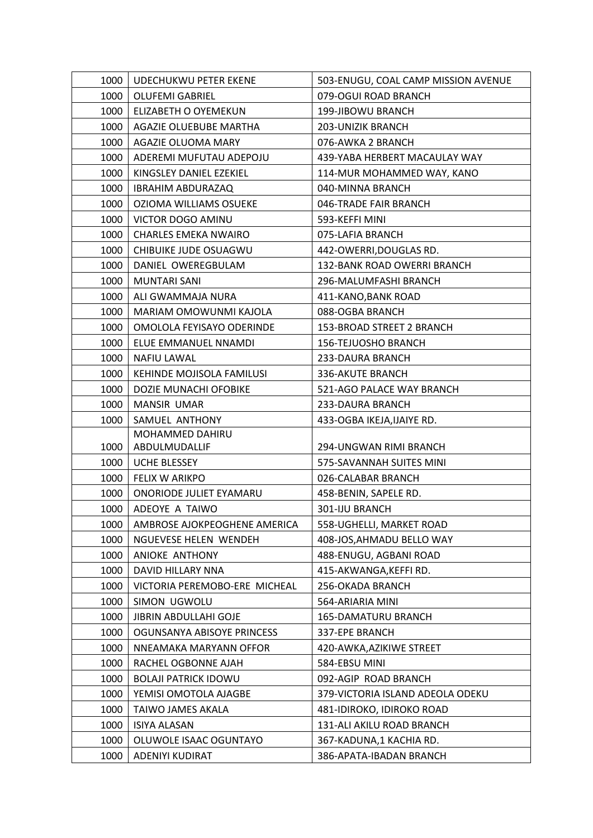| 1000 | UDECHUKWU PETER EKENE         | 503-ENUGU, COAL CAMP MISSION AVENUE |
|------|-------------------------------|-------------------------------------|
| 1000 | <b>OLUFEMI GABRIEL</b>        | 079-OGUI ROAD BRANCH                |
| 1000 | ELIZABETH O OYEMEKUN          | 199-JIBOWU BRANCH                   |
| 1000 | AGAZIE OLUEBUBE MARTHA        | 203-UNIZIK BRANCH                   |
| 1000 | AGAZIE OLUOMA MARY            | 076-AWKA 2 BRANCH                   |
| 1000 | ADEREMI MUFUTAU ADEPOJU       | 439-YABA HERBERT MACAULAY WAY       |
| 1000 | KINGSLEY DANIEL EZEKIEL       | 114-MUR MOHAMMED WAY, KANO          |
| 1000 | <b>IBRAHIM ABDURAZAQ</b>      | 040-MINNA BRANCH                    |
| 1000 | OZIOMA WILLIAMS OSUEKE        | 046-TRADE FAIR BRANCH               |
| 1000 | VICTOR DOGO AMINU             | 593-KEFFI MINI                      |
| 1000 | <b>CHARLES EMEKA NWAIRO</b>   | 075-LAFIA BRANCH                    |
| 1000 | CHIBUIKE JUDE OSUAGWU         | 442-OWERRI, DOUGLAS RD.             |
| 1000 | DANIEL OWEREGBULAM            | 132-BANK ROAD OWERRI BRANCH         |
| 1000 | <b>MUNTARI SANI</b>           | 296-MALUMFASHI BRANCH               |
| 1000 | ALI GWAMMAJA NURA             | 411-KANO, BANK ROAD                 |
| 1000 | MARIAM OMOWUNMI KAJOLA        | 088-OGBA BRANCH                     |
| 1000 | OMOLOLA FEYISAYO ODERINDE     | 153-BROAD STREET 2 BRANCH           |
| 1000 | ELUE EMMANUEL NNAMDI          | <b>156-TEJUOSHO BRANCH</b>          |
| 1000 | <b>NAFIU LAWAL</b>            | 233-DAURA BRANCH                    |
| 1000 | KEHINDE MOJISOLA FAMILUSI     | 336-AKUTE BRANCH                    |
| 1000 | DOZIE MUNACHI OFOBIKE         | 521-AGO PALACE WAY BRANCH           |
| 1000 | <b>MANSIR UMAR</b>            | 233-DAURA BRANCH                    |
| 1000 | SAMUEL ANTHONY                | 433-OGBA IKEJA, IJAIYE RD.          |
|      | MOHAMMED DAHIRU               |                                     |
| 1000 | ABDULMUDALLIF                 | 294-UNGWAN RIMI BRANCH              |
| 1000 | <b>UCHE BLESSEY</b>           | 575-SAVANNAH SUITES MINI            |
| 1000 | <b>FELIX W ARIKPO</b>         | 026-CALABAR BRANCH                  |
| 1000 | ONORIODE JULIET EYAMARU       | 458-BENIN, SAPELE RD.               |
| 1000 | ADEOYE A TAIWO                | 301-IJU BRANCH                      |
| 1000 | AMBROSE AJOKPEOGHENE AMERICA  | 558-UGHELLI, MARKET ROAD            |
| 1000 | NGUEVESE HELEN WENDEH         | 408-JOS, AHMADU BELLO WAY           |
| 1000 | ANIOKE ANTHONY                | 488-ENUGU, AGBANI ROAD              |
| 1000 | DAVID HILLARY NNA             | 415-AKWANGA, KEFFIRD.               |
| 1000 | VICTORIA PEREMOBO-ERE MICHEAL | 256-OKADA BRANCH                    |
| 1000 | SIMON UGWOLU                  | 564-ARIARIA MINI                    |
| 1000 | <b>JIBRIN ABDULLAHI GOJE</b>  | 165-DAMATURU BRANCH                 |
| 1000 | OGUNSANYA ABISOYE PRINCESS    | 337-EPE BRANCH                      |
| 1000 | NNEAMAKA MARYANN OFFOR        | 420-AWKA, AZIKIWE STREET            |
| 1000 | RACHEL OGBONNE AJAH           | 584-EBSU MINI                       |
| 1000 | <b>BOLAJI PATRICK IDOWU</b>   | 092-AGIP ROAD BRANCH                |
| 1000 | YEMISI OMOTOLA AJAGBE         | 379-VICTORIA ISLAND ADEOLA ODEKU    |
| 1000 | TAIWO JAMES AKALA             | 481-IDIROKO, IDIROKO ROAD           |
| 1000 | <b>ISIYA ALASAN</b>           | 131-ALI AKILU ROAD BRANCH           |
| 1000 | OLUWOLE ISAAC OGUNTAYO        | 367-KADUNA,1 KACHIA RD.             |
| 1000 | ADENIYI KUDIRAT               | 386-APATA-IBADAN BRANCH             |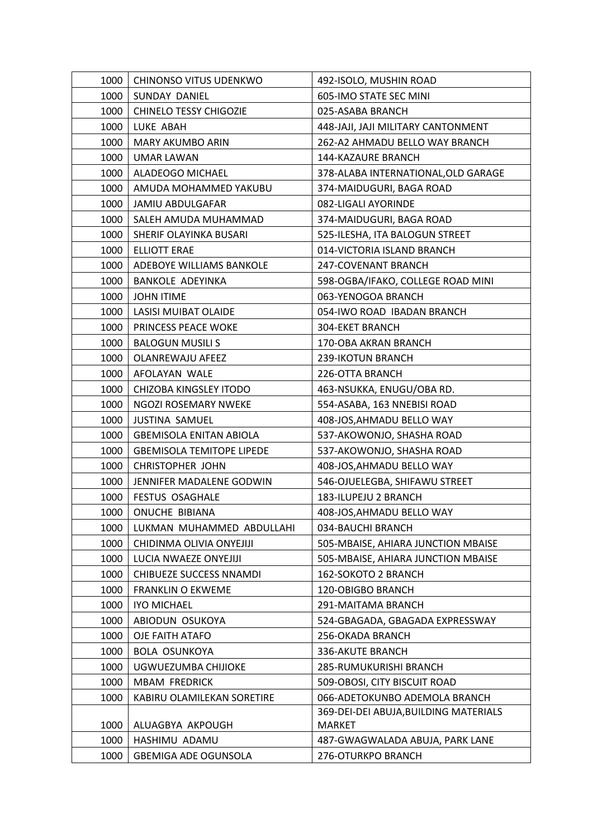| 1000 | CHINONSO VITUS UDENKWO           | 492-ISOLO, MUSHIN ROAD                |
|------|----------------------------------|---------------------------------------|
| 1000 | SUNDAY DANIEL                    | 605-IMO STATE SEC MINI                |
| 1000 | <b>CHINELO TESSY CHIGOZIE</b>    | 025-ASABA BRANCH                      |
| 1000 | LUKE ABAH                        | 448-JAJI, JAJI MILITARY CANTONMENT    |
| 1000 | <b>MARY AKUMBO ARIN</b>          | 262-A2 AHMADU BELLO WAY BRANCH        |
| 1000 | UMAR LAWAN                       | 144-KAZAURE BRANCH                    |
| 1000 | ALADEOGO MICHAEL                 | 378-ALABA INTERNATIONAL, OLD GARAGE   |
| 1000 | AMUDA MOHAMMED YAKUBU            | 374-MAIDUGURI, BAGA ROAD              |
| 1000 | <b>JAMIU ABDULGAFAR</b>          | 082-LIGALI AYORINDE                   |
| 1000 | SALEH AMUDA MUHAMMAD             | 374-MAIDUGURI, BAGA ROAD              |
| 1000 | SHERIF OLAYINKA BUSARI           | 525-ILESHA, ITA BALOGUN STREET        |
| 1000 | ELLIOTT ERAE                     | 014-VICTORIA ISLAND BRANCH            |
| 1000 | ADEBOYE WILLIAMS BANKOLE         | 247-COVENANT BRANCH                   |
| 1000 | <b>BANKOLE ADEYINKA</b>          | 598-OGBA/IFAKO, COLLEGE ROAD MINI     |
| 1000 | <b>JOHN ITIME</b>                | 063-YENOGOA BRANCH                    |
| 1000 | <b>LASISI MUIBAT OLAIDE</b>      | 054-IWO ROAD IBADAN BRANCH            |
| 1000 | PRINCESS PEACE WOKE              | <b>304-EKET BRANCH</b>                |
| 1000 | <b>BALOGUN MUSILI S</b>          | 170-OBA AKRAN BRANCH                  |
| 1000 | <b>OLANREWAJU AFEEZ</b>          | 239-IKOTUN BRANCH                     |
| 1000 | AFOLAYAN WALE                    | 226-OTTA BRANCH                       |
| 1000 | CHIZOBA KINGSLEY ITODO           | 463-NSUKKA, ENUGU/OBA RD.             |
| 1000 | NGOZI ROSEMARY NWEKE             | 554-ASABA, 163 NNEBISI ROAD           |
| 1000 | <b>JUSTINA SAMUEL</b>            | 408-JOS, AHMADU BELLO WAY             |
| 1000 | <b>GBEMISOLA ENITAN ABIOLA</b>   | 537-AKOWONJO, SHASHA ROAD             |
| 1000 | <b>GBEMISOLA TEMITOPE LIPEDE</b> | 537-AKOWONJO, SHASHA ROAD             |
| 1000 | <b>CHRISTOPHER JOHN</b>          | 408-JOS, AHMADU BELLO WAY             |
| 1000 | JENNIFER MADALENE GODWIN         | 546-OJUELEGBA, SHIFAWU STREET         |
| 1000 | <b>FESTUS OSAGHALE</b>           | 183-ILUPEJU 2 BRANCH                  |
| 1000 | ONUCHE BIBIANA                   | 408-JOS, AHMADU BELLO WAY             |
| 1000 | LUKMAN MUHAMMED ABDULLAHI        | 034-BAUCHI BRANCH                     |
| 1000 | CHIDINMA OLIVIA ONYEJIJI         | 505-MBAISE, AHIARA JUNCTION MBAISE    |
| 1000 | LUCIA NWAEZE ONYEJIJI            | 505-MBAISE, AHIARA JUNCTION MBAISE    |
| 1000 | CHIBUEZE SUCCESS NNAMDI          | 162-SOKOTO 2 BRANCH                   |
| 1000 | <b>FRANKLIN O EKWEME</b>         | 120-OBIGBO BRANCH                     |
| 1000 | <b>IYO MICHAEL</b>               | 291-MAITAMA BRANCH                    |
| 1000 | ABIODUN OSUKOYA                  | 524-GBAGADA, GBAGADA EXPRESSWAY       |
| 1000 | OJE FAITH ATAFO                  | 256-OKADA BRANCH                      |
| 1000 | <b>BOLA OSUNKOYA</b>             | 336-AKUTE BRANCH                      |
| 1000 | UGWUEZUMBA CHIJIOKE              | 285-RUMUKURISHI BRANCH                |
| 1000 | <b>MBAM FREDRICK</b>             | 509-OBOSI, CITY BISCUIT ROAD          |
| 1000 | KABIRU OLAMILEKAN SORETIRE       | 066-ADETOKUNBO ADEMOLA BRANCH         |
|      |                                  | 369-DEI-DEI ABUJA, BUILDING MATERIALS |
| 1000 | ALUAGBYA AKPOUGH                 | <b>MARKET</b>                         |
| 1000 | HASHIMU ADAMU                    | 487-GWAGWALADA ABUJA, PARK LANE       |
| 1000 | <b>GBEMIGA ADE OGUNSOLA</b>      | 276-OTURKPO BRANCH                    |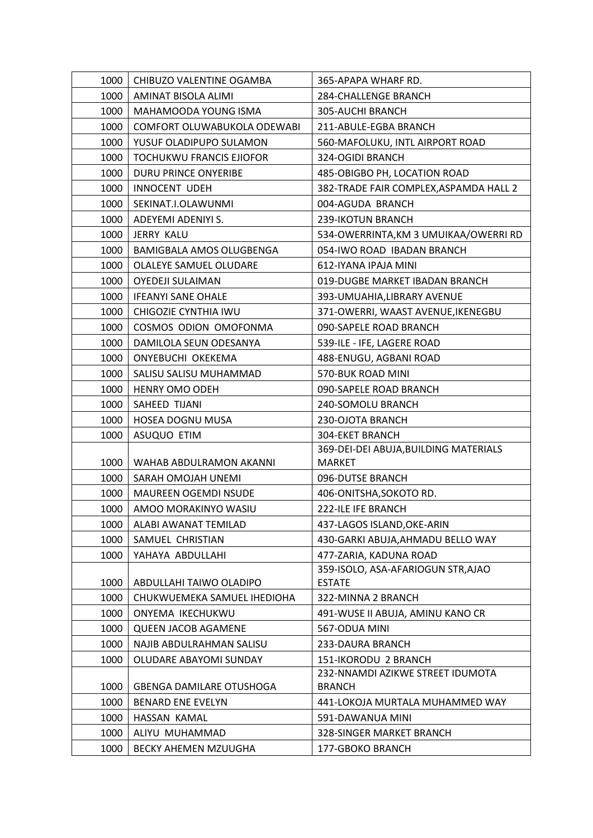| 1000         | CHIBUZO VALENTINE OGAMBA                                    | 365-APAPA WHARF RD.                              |
|--------------|-------------------------------------------------------------|--------------------------------------------------|
| 1000         | AMINAT BISOLA ALIMI                                         | 284-CHALLENGE BRANCH                             |
| 1000         | MAHAMOODA YOUNG ISMA                                        | 305-AUCHI BRANCH                                 |
| 1000         | COMFORT OLUWABUKOLA ODEWABI                                 | 211-ABULE-EGBA BRANCH                            |
| 1000         | YUSUF OLADIPUPO SULAMON                                     | 560-MAFOLUKU, INTL AIRPORT ROAD                  |
| 1000         | <b>TOCHUKWU FRANCIS EJIOFOR</b>                             | 324-OGIDI BRANCH                                 |
| 1000         | DURU PRINCE ONYERIBE                                        | 485-OBIGBO PH, LOCATION ROAD                     |
| 1000         | <b>INNOCENT UDEH</b>                                        | 382-TRADE FAIR COMPLEX, ASPAMDA HALL 2           |
| 1000         | SEKINAT.I.OLAWUNMI                                          | 004-AGUDA BRANCH                                 |
| 1000         | ADEYEMI ADENIYI S.                                          | 239-IKOTUN BRANCH                                |
| 1000         | JERRY KALU                                                  | 534-OWERRINTA, KM 3 UMUIKAA/OWERRI RD            |
| 1000         | <b>BAMIGBALA AMOS OLUGBENGA</b>                             | 054-IWO ROAD IBADAN BRANCH                       |
| 1000         | OLALEYE SAMUEL OLUDARE                                      | 612-IYANA IPAJA MINI                             |
| 1000         | <b>OYEDEJI SULAIMAN</b>                                     | 019-DUGBE MARKET IBADAN BRANCH                   |
| 1000         | <b>IFEANYI SANE OHALE</b>                                   | 393-UMUAHIA, LIBRARY AVENUE                      |
| 1000         | CHIGOZIE CYNTHIA IWU                                        | 371-OWERRI, WAAST AVENUE, IKENEGBU               |
| 1000         | COSMOS ODION OMOFONMA                                       | 090-SAPELE ROAD BRANCH                           |
| 1000         | DAMILOLA SEUN ODESANYA                                      | 539-ILE - IFE, LAGERE ROAD                       |
| 1000         | ONYEBUCHI OKEKEMA                                           | 488-ENUGU, AGBANI ROAD                           |
| 1000         | SALISU SALISU MUHAMMAD                                      | 570-BUK ROAD MINI                                |
| 1000         | HENRY OMO ODEH                                              | 090-SAPELE ROAD BRANCH                           |
| 1000         | SAHEED TIJANI                                               | 240-SOMOLU BRANCH                                |
| 1000         | HOSEA DOGNU MUSA                                            | 230-OJOTA BRANCH                                 |
| 1000         | ASUQUO ETIM                                                 | 304-EKET BRANCH                                  |
|              |                                                             | 369-DEI-DEI ABUJA, BUILDING MATERIALS            |
| 1000         | WAHAB ABDULRAMON AKANNI                                     | <b>MARKET</b>                                    |
| 1000         | SARAH OMOJAH UNEMI                                          | 096-DUTSE BRANCH                                 |
| 1000         | <b>MAUREEN OGEMDI NSUDE</b>                                 | 406-ONITSHA, SOKOTO RD.                          |
| 1000         | AMOO MORAKINYO WASIU                                        | 222-ILE IFE BRANCH                               |
| 1000         | ALABI AWANAT TEMILAD                                        | 437-LAGOS ISLAND, OKE-ARIN                       |
| 1000         | SAMUEL CHRISTIAN                                            | 430-GARKI ABUJA, AHMADU BELLO WAY                |
| 1000         | YAHAYA ABDULLAHI                                            | 477-ZARIA, KADUNA ROAD                           |
|              |                                                             | 359-ISOLO, ASA-AFARIOGUN STR, AJAO               |
| 1000         | ABDULLAHI TAIWO OLADIPO                                     | <b>ESTATE</b>                                    |
| 1000         | CHUKWUEMEKA SAMUEL IHEDIOHA                                 | 322-MINNA 2 BRANCH                               |
| 1000         | ONYEMA IKECHUKWU                                            | 491-WUSE II ABUJA, AMINU KANO CR                 |
| 1000         | <b>QUEEN JACOB AGAMENE</b>                                  | 567-ODUA MINI                                    |
| 1000         | NAJIB ABDULRAHMAN SALISU                                    | 233-DAURA BRANCH                                 |
| 1000         | OLUDARE ABAYOMI SUNDAY                                      | 151-IKORODU 2 BRANCH                             |
|              |                                                             | 232-NNAMDI AZIKWE STREET IDUMOTA                 |
| 1000<br>1000 | <b>GBENGA DAMILARE OTUSHOGA</b><br><b>BENARD ENE EVELYN</b> | <b>BRANCH</b><br>441-LOKOJA MURTALA MUHAMMED WAY |
|              | HASSAN KAMAL                                                |                                                  |
| 1000<br>1000 | ALIYU MUHAMMAD                                              | 591-DAWANUA MINI<br>328-SINGER MARKET BRANCH     |
|              |                                                             |                                                  |
| 1000         | BECKY AHEMEN MZUUGHA                                        | 177-GBOKO BRANCH                                 |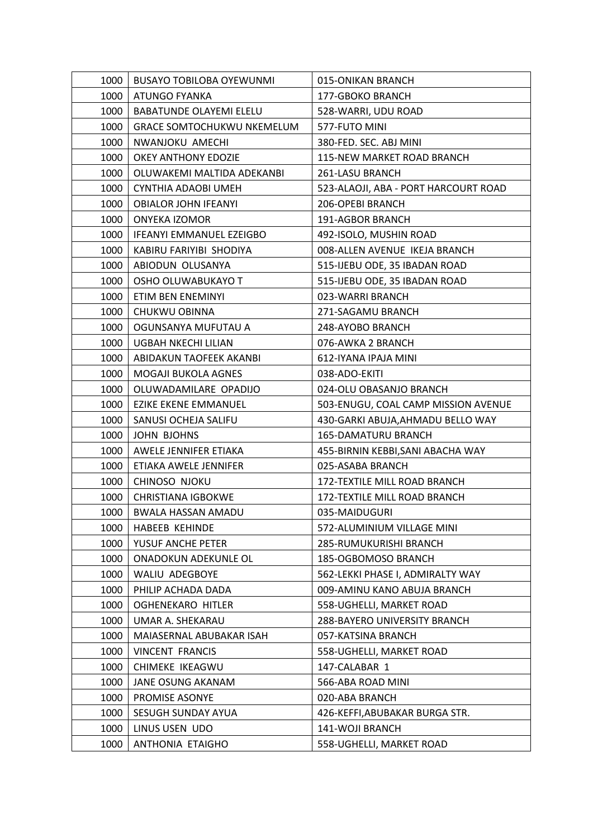| 1000 | BUSAYO TOBILOBA OYEWUNMI          | 015-ONIKAN BRANCH                    |
|------|-----------------------------------|--------------------------------------|
| 1000 | ATUNGO FYANKA                     | 177-GBOKO BRANCH                     |
| 1000 | <b>BABATUNDE OLAYEMI ELELU</b>    | 528-WARRI, UDU ROAD                  |
| 1000 | <b>GRACE SOMTOCHUKWU NKEMELUM</b> | 577-FUTO MINI                        |
| 1000 | NWANJOKU AMECHI                   | 380-FED. SEC. ABJ MINI               |
| 1000 | OKEY ANTHONY EDOZIE               | 115-NEW MARKET ROAD BRANCH           |
| 1000 | OLUWAKEMI MALTIDA ADEKANBI        | 261-LASU BRANCH                      |
| 1000 | CYNTHIA ADAOBI UMEH               | 523-ALAOJI, ABA - PORT HARCOURT ROAD |
| 1000 | <b>OBIALOR JOHN IFEANYI</b>       | 206-OPEBI BRANCH                     |
| 1000 | <b>ONYEKA IZOMOR</b>              | 191-AGBOR BRANCH                     |
| 1000 | <b>IFEANYI EMMANUEL EZEIGBO</b>   | 492-ISOLO, MUSHIN ROAD               |
| 1000 | KABIRU FARIYIBI SHODIYA           | 008-ALLEN AVENUE IKEJA BRANCH        |
| 1000 | ABIODUN OLUSANYA                  | 515-IJEBU ODE, 35 IBADAN ROAD        |
| 1000 | OSHO OLUWABUKAYO T                | 515-IJEBU ODE, 35 IBADAN ROAD        |
| 1000 | ETIM BEN ENEMINYI                 | 023-WARRI BRANCH                     |
| 1000 | CHUKWU OBINNA                     | 271-SAGAMU BRANCH                    |
| 1000 | OGUNSANYA MUFUTAU A               | 248-AYOBO BRANCH                     |
| 1000 | UGBAH NKECHI LILIAN               | 076-AWKA 2 BRANCH                    |
| 1000 | ABIDAKUN TAOFEEK AKANBI           | 612-IYANA IPAJA MINI                 |
| 1000 | MOGAJI BUKOLA AGNES               | 038-ADO-EKITI                        |
| 1000 | OLUWADAMILARE OPADIJO             | 024-OLU OBASANJO BRANCH              |
| 1000 | <b>EZIKE EKENE EMMANUEL</b>       | 503-ENUGU, COAL CAMP MISSION AVENUE  |
| 1000 | SANUSI OCHEJA SALIFU              | 430-GARKI ABUJA, AHMADU BELLO WAY    |
| 1000 | <b>JOHN BJOHNS</b>                | <b>165-DAMATURU BRANCH</b>           |
| 1000 | AWELE JENNIFER ETIAKA             | 455-BIRNIN KEBBI, SANI ABACHA WAY    |
| 1000 | ETIAKA AWELE JENNIFER             | 025-ASABA BRANCH                     |
| 1000 | CHINOSO NJOKU                     | 172-TEXTILE MILL ROAD BRANCH         |
| 1000 | <b>CHRISTIANA IGBOKWE</b>         | 172-TEXTILE MILL ROAD BRANCH         |
| 1000 | <b>BWALA HASSAN AMADU</b>         | 035-MAIDUGURI                        |
| 1000 | <b>HABEEB KEHINDE</b>             | 572-ALUMINIUM VILLAGE MINI           |
| 1000 | YUSUF ANCHE PETER                 | 285-RUMUKURISHI BRANCH               |
| 1000 | ONADOKUN ADEKUNLE OL              | 185-OGBOMOSO BRANCH                  |
| 1000 | WALIU ADEGBOYE                    | 562-LEKKI PHASE I, ADMIRALTY WAY     |
| 1000 | PHILIP ACHADA DADA                | 009-AMINU KANO ABUJA BRANCH          |
| 1000 | OGHENEKARO HITLER                 | 558-UGHELLI, MARKET ROAD             |
| 1000 | UMAR A. SHEKARAU                  | 288-BAYERO UNIVERSITY BRANCH         |
| 1000 | MAIASERNAL ABUBAKAR ISAH          | 057-KATSINA BRANCH                   |
| 1000 | <b>VINCENT FRANCIS</b>            | 558-UGHELLI, MARKET ROAD             |
| 1000 | CHIMEKE IKEAGWU                   | 147-CALABAR 1                        |
| 1000 | JANE OSUNG AKANAM                 | 566-ABA ROAD MINI                    |
| 1000 | PROMISE ASONYE                    | 020-ABA BRANCH                       |
| 1000 | SESUGH SUNDAY AYUA                | 426-KEFFI, ABUBAKAR BURGA STR.       |
| 1000 | LINUS USEN UDO                    | 141-WOJI BRANCH                      |
| 1000 | ANTHONIA ETAIGHO                  | 558-UGHELLI, MARKET ROAD             |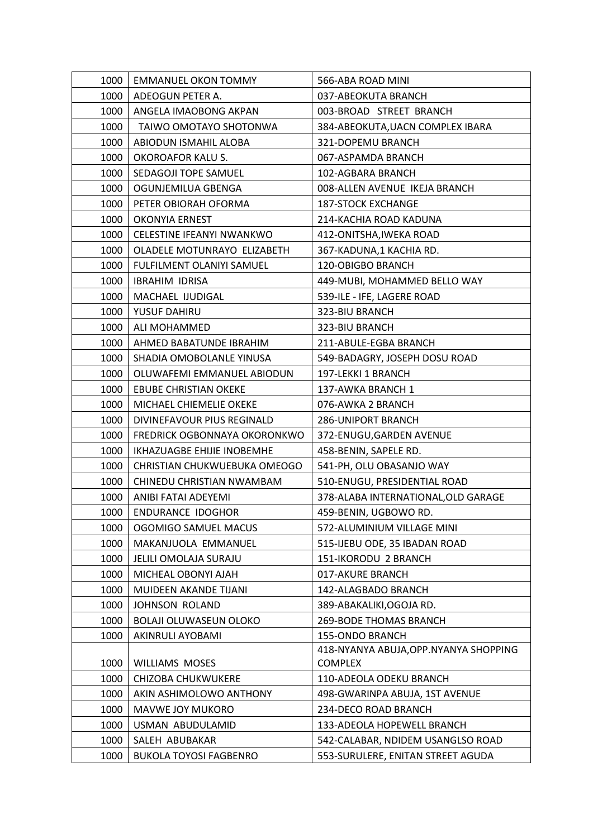| 1000 | EMMANUEL OKON TOMMY                 | 566-ABA ROAD MINI                      |
|------|-------------------------------------|----------------------------------------|
| 1000 | ADEOGUN PETER A.                    | 037-ABEOKUTA BRANCH                    |
| 1000 | ANGELA IMAOBONG AKPAN               | 003-BROAD STREET BRANCH                |
| 1000 | TAIWO OMOTAYO SHOTONWA              | 384-ABEOKUTA, UACN COMPLEX IBARA       |
| 1000 | ABIODUN ISMAHIL ALOBA               | 321-DOPEMU BRANCH                      |
| 1000 | OKOROAFOR KALU S.                   | 067-ASPAMDA BRANCH                     |
| 1000 | SEDAGOJI TOPE SAMUEL                | 102-AGBARA BRANCH                      |
| 1000 | OGUNJEMILUA GBENGA                  | 008-ALLEN AVENUE IKEJA BRANCH          |
| 1000 | PETER OBIORAH OFORMA                | <b>187-STOCK EXCHANGE</b>              |
| 1000 | <b>OKONYIA ERNEST</b>               | 214-KACHIA ROAD KADUNA                 |
| 1000 | CELESTINE IFEANYI NWANKWO           | 412-ONITSHA, IWEKA ROAD                |
| 1000 | OLADELE MOTUNRAYO ELIZABETH         | 367-KADUNA,1 KACHIA RD.                |
| 1000 | FULFILMENT OLANIYI SAMUEL           | 120-OBIGBO BRANCH                      |
| 1000 | <b>IBRAHIM IDRISA</b>               | 449-MUBI, MOHAMMED BELLO WAY           |
| 1000 | MACHAEL IJUDIGAL                    | 539-ILE - IFE, LAGERE ROAD             |
| 1000 | YUSUF DAHIRU                        | 323-BIU BRANCH                         |
| 1000 | ALI MOHAMMED                        | 323-BIU BRANCH                         |
| 1000 | AHMED BABATUNDE IBRAHIM             | 211-ABULE-EGBA BRANCH                  |
| 1000 | SHADIA OMOBOLANLE YINUSA            | 549-BADAGRY, JOSEPH DOSU ROAD          |
| 1000 | OLUWAFEMI EMMANUEL ABIODUN          | 197-LEKKI 1 BRANCH                     |
| 1000 | <b>EBUBE CHRISTIAN OKEKE</b>        | 137-AWKA BRANCH 1                      |
| 1000 | MICHAEL CHIEMELIE OKEKE             | 076-AWKA 2 BRANCH                      |
| 1000 | DIVINEFAVOUR PIUS REGINALD          | <b>286-UNIPORT BRANCH</b>              |
| 1000 | <b>FREDRICK OGBONNAYA OKORONKWO</b> | 372-ENUGU, GARDEN AVENUE               |
| 1000 | IKHAZUAGBE EHIJIE INOBEMHE          | 458-BENIN, SAPELE RD.                  |
| 1000 | CHRISTIAN CHUKWUEBUKA OMEOGO        | 541-PH, OLU OBASANJO WAY               |
| 1000 | CHINEDU CHRISTIAN NWAMBAM           | 510-ENUGU, PRESIDENTIAL ROAD           |
| 1000 | ANIBI FATAI ADEYEMI                 | 378-ALABA INTERNATIONAL, OLD GARAGE    |
| 1000 | <b>ENDURANCE IDOGHOR</b>            | 459-BENIN, UGBOWO RD.                  |
| 1000 | OGOMIGO SAMUEL MACUS                | 572-ALUMINIUM VILLAGE MINI             |
| 1000 | MAKANJUOLA EMMANUEL                 | 515-IJEBU ODE, 35 IBADAN ROAD          |
| 1000 | JELILI OMOLAJA SURAJU               | 151-IKORODU 2 BRANCH                   |
| 1000 | MICHEAL OBONYI AJAH                 | 017-AKURE BRANCH                       |
| 1000 | MUIDEEN AKANDE TIJANI               | 142-ALAGBADO BRANCH                    |
| 1000 | <b>JOHNSON ROLAND</b>               | 389-ABAKALIKI, OGOJA RD.               |
| 1000 | BOLAJI OLUWASEUN OLOKO              | <b>269-BODE THOMAS BRANCH</b>          |
| 1000 | AKINRULI AYOBAMI                    | 155-ONDO BRANCH                        |
|      |                                     | 418-NYANYA ABUJA, OPP. NYANYA SHOPPING |
| 1000 | <b>WILLIAMS MOSES</b>               | <b>COMPLEX</b>                         |
| 1000 | CHIZOBA CHUKWUKERE                  | 110-ADEOLA ODEKU BRANCH                |
| 1000 | AKIN ASHIMOLOWO ANTHONY             | 498-GWARINPA ABUJA, 1ST AVENUE         |
| 1000 | MAVWE JOY MUKORO                    | 234-DECO ROAD BRANCH                   |
| 1000 | USMAN ABUDULAMID                    | 133-ADEOLA HOPEWELL BRANCH             |
| 1000 | SALEH ABUBAKAR                      | 542-CALABAR, NDIDEM USANGLSO ROAD      |
| 1000 | <b>BUKOLA TOYOSI FAGBENRO</b>       | 553-SURULERE, ENITAN STREET AGUDA      |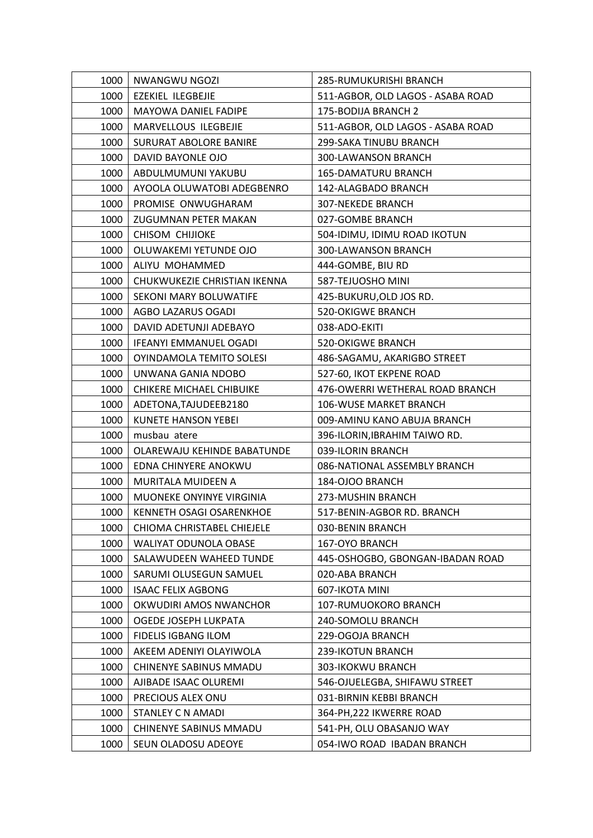| 1000 | NWANGWU NGOZI                   | 285-RUMUKURISHI BRANCH            |
|------|---------------------------------|-----------------------------------|
| 1000 | EZEKIEL ILEGBEJIE               | 511-AGBOR, OLD LAGOS - ASABA ROAD |
| 1000 | MAYOWA DANIEL FADIPE            | 175-BODIJA BRANCH 2               |
| 1000 | MARVELLOUS ILEGBEJIE            | 511-AGBOR, OLD LAGOS - ASABA ROAD |
| 1000 | <b>SURURAT ABOLORE BANIRE</b>   | 299-SAKA TINUBU BRANCH            |
| 1000 | DAVID BAYONLE OJO               | 300-LAWANSON BRANCH               |
| 1000 | ABDULMUMUNI YAKUBU              | <b>165-DAMATURU BRANCH</b>        |
| 1000 | AYOOLA OLUWATOBI ADEGBENRO      | 142-ALAGBADO BRANCH               |
| 1000 | PROMISE ONWUGHARAM              | <b>307-NEKEDE BRANCH</b>          |
| 1000 | ZUGUMNAN PETER MAKAN            | 027-GOMBE BRANCH                  |
| 1000 | <b>CHISOM CHIJIOKE</b>          | 504-IDIMU, IDIMU ROAD IKOTUN      |
| 1000 | OLUWAKEMI YETUNDE OJO           | 300-LAWANSON BRANCH               |
| 1000 | ALIYU MOHAMMED                  | 444-GOMBE, BIU RD                 |
| 1000 | CHUKWUKEZIE CHRISTIAN IKENNA    | 587-TEJUOSHO MINI                 |
| 1000 | SEKONI MARY BOLUWATIFE          | 425-BUKURU, OLD JOS RD.           |
| 1000 | AGBO LAZARUS OGADI              | <b>520-OKIGWE BRANCH</b>          |
| 1000 | DAVID ADETUNJI ADEBAYO          | 038-ADO-EKITI                     |
| 1000 | IFEANYI EMMANUEL OGADI          | <b>520-OKIGWE BRANCH</b>          |
| 1000 | OYINDAMOLA TEMITO SOLESI        | 486-SAGAMU, AKARIGBO STREET       |
| 1000 | UNWANA GANIA NDOBO              | 527-60, IKOT EKPENE ROAD          |
| 1000 | CHIKERE MICHAEL CHIBUIKE        | 476-OWERRI WETHERAL ROAD BRANCH   |
| 1000 | ADETONA, TAJUDEEB2180           | 106-WUSE MARKET BRANCH            |
| 1000 | <b>KUNETE HANSON YEBEI</b>      | 009-AMINU KANO ABUJA BRANCH       |
| 1000 | musbau atere                    | 396-ILORIN, IBRAHIM TAIWO RD.     |
| 1000 | OLAREWAJU KEHINDE BABATUNDE     | 039-ILORIN BRANCH                 |
| 1000 | EDNA CHINYERE ANOKWU            | 086-NATIONAL ASSEMBLY BRANCH      |
| 1000 | MURITALA MUIDEEN A              | 184-OJOO BRANCH                   |
| 1000 | MUONEKE ONYINYE VIRGINIA        | 273-MUSHIN BRANCH                 |
| 1000 | <b>KENNETH OSAGI OSARENKHOE</b> | 517-BENIN-AGBOR RD. BRANCH        |
| 1000 | CHIOMA CHRISTABEL CHIEJELE      | 030-BENIN BRANCH                  |
| 1000 | WALIYAT ODUNOLA OBASE           | 167-OYO BRANCH                    |
| 1000 | SALAWUDEEN WAHEED TUNDE         | 445-OSHOGBO, GBONGAN-IBADAN ROAD  |
| 1000 | SARUMI OLUSEGUN SAMUEL          | 020-ABA BRANCH                    |
| 1000 | <b>ISAAC FELIX AGBONG</b>       | 607-IKOTA MINI                    |
| 1000 | OKWUDIRI AMOS NWANCHOR          | 107-RUMUOKORO BRANCH              |
| 1000 | OGEDE JOSEPH LUKPATA            | 240-SOMOLU BRANCH                 |
| 1000 | FIDELIS IGBANG ILOM             | 229-OGOJA BRANCH                  |
| 1000 | AKEEM ADENIYI OLAYIWOLA         | 239-IKOTUN BRANCH                 |
| 1000 | CHINENYE SABINUS MMADU          | 303-IKOKWU BRANCH                 |
| 1000 | AJIBADE ISAAC OLUREMI           | 546-OJUELEGBA, SHIFAWU STREET     |
| 1000 | PRECIOUS ALEX ONU               | 031-BIRNIN KEBBI BRANCH           |
| 1000 | STANLEY C N AMADI               | 364-PH, 222 IKWERRE ROAD          |
| 1000 | CHINENYE SABINUS MMADU          | 541-PH, OLU OBASANJO WAY          |
| 1000 | SEUN OLADOSU ADEOYE             | 054-IWO ROAD IBADAN BRANCH        |